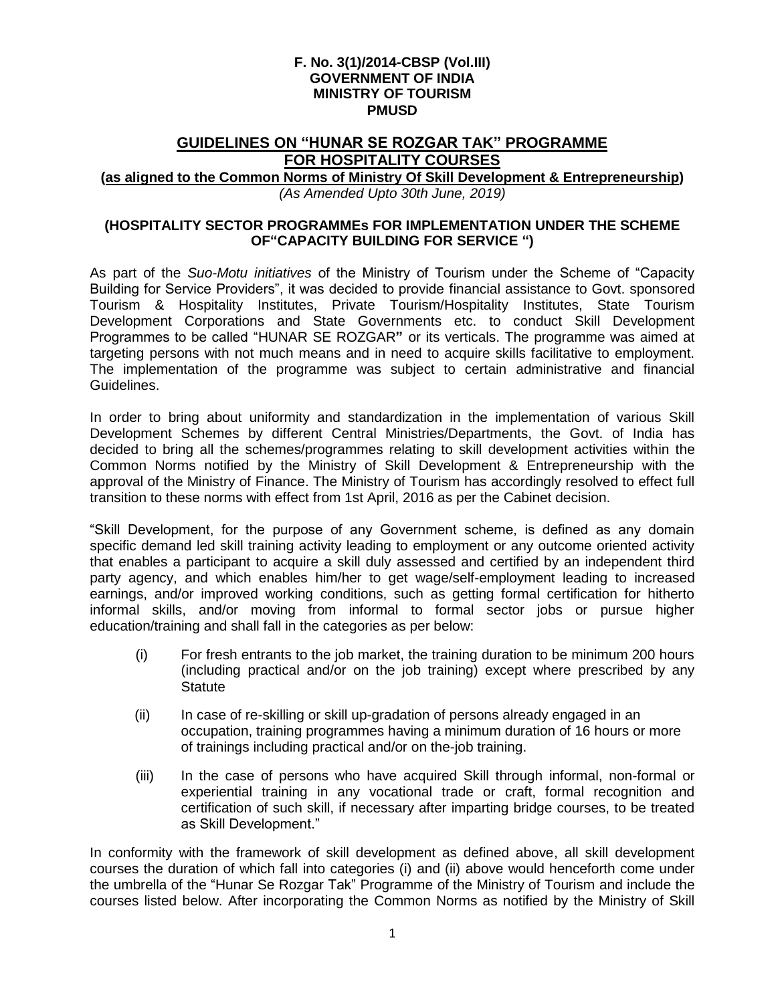#### **F. No. 3(1)/2014-CBSP (Vol.III) GOVERNMENT OF INDIA MINISTRY OF TOURISM PMUSD**

# **GUIDELINES ON "HUNAR SE ROZGAR TAK" PROGRAMME FOR HOSPITALITY COURSES**

# **(as aligned to the Common Norms of Ministry Of Skill Development & Entrepreneurship)**

*(As Amended Upto 30th June, 2019)*

### **(HOSPITALITY SECTOR PROGRAMMEs FOR IMPLEMENTATION UNDER THE SCHEME OF"CAPACITY BUILDING FOR SERVICE ")**

As part of the *Suo-Motu initiatives* of the Ministry of Tourism under the Scheme of "Capacity Building for Service Providers", it was decided to provide financial assistance to Govt. sponsored Tourism & Hospitality Institutes, Private Tourism/Hospitality Institutes, State Tourism Development Corporations and State Governments etc. to conduct Skill Development Programmes to be called "HUNAR SE ROZGAR**"** or its verticals. The programme was aimed at targeting persons with not much means and in need to acquire skills facilitative to employment. The implementation of the programme was subject to certain administrative and financial Guidelines.

In order to bring about uniformity and standardization in the implementation of various Skill Development Schemes by different Central Ministries/Departments, the Govt. of India has decided to bring all the schemes/programmes relating to skill development activities within the Common Norms notified by the Ministry of Skill Development & Entrepreneurship with the approval of the Ministry of Finance. The Ministry of Tourism has accordingly resolved to effect full transition to these norms with effect from 1st April, 2016 as per the Cabinet decision.

"Skill Development, for the purpose of any Government scheme, is defined as any domain specific demand led skill training activity leading to employment or any outcome oriented activity that enables a participant to acquire a skill duly assessed and certified by an independent third party agency, and which enables him/her to get wage/self-employment leading to increased earnings, and/or improved working conditions, such as getting formal certification for hitherto informal skills, and/or moving from informal to formal sector jobs or pursue higher education/training and shall fall in the categories as per below:

- (i) For fresh entrants to the job market, the training duration to be minimum 200 hours (including practical and/or on the job training) except where prescribed by any **Statute**
- (ii) In case of re-skilling or skill up-gradation of persons already engaged in an occupation, training programmes having a minimum duration of 16 hours or more of trainings including practical and/or on the-job training.
- (iii) In the case of persons who have acquired Skill through informal, non-formal or experiential training in any vocational trade or craft, formal recognition and certification of such skill, if necessary after imparting bridge courses, to be treated as Skill Development."

In conformity with the framework of skill development as defined above, all skill development courses the duration of which fall into categories (i) and (ii) above would henceforth come under the umbrella of the "Hunar Se Rozgar Tak" Programme of the Ministry of Tourism and include the courses listed below. After incorporating the Common Norms as notified by the Ministry of Skill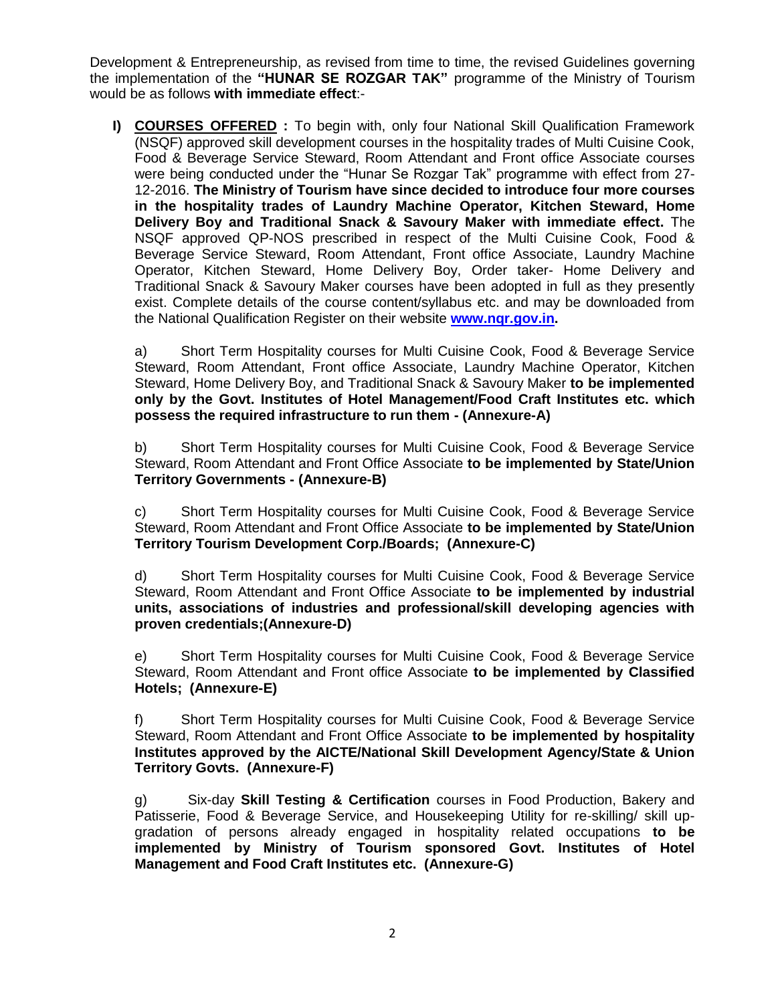Development & Entrepreneurship, as revised from time to time, the revised Guidelines governing the implementation of the **"HUNAR SE ROZGAR TAK"** programme of the Ministry of Tourism would be as follows **with immediate effect**:-

**I) COURSES OFFERED :** To begin with, only four National Skill Qualification Framework (NSQF) approved skill development courses in the hospitality trades of Multi Cuisine Cook, Food & Beverage Service Steward, Room Attendant and Front office Associate courses were being conducted under the "Hunar Se Rozgar Tak" programme with effect from 27- 12-2016. **The Ministry of Tourism have since decided to introduce four more courses in the hospitality trades of Laundry Machine Operator, Kitchen Steward, Home Delivery Boy and Traditional Snack & Savoury Maker with immediate effect.** The NSQF approved QP-NOS prescribed in respect of the Multi Cuisine Cook, Food & Beverage Service Steward, Room Attendant, Front office Associate, Laundry Machine Operator, Kitchen Steward, Home Delivery Boy, Order taker- Home Delivery and Traditional Snack & Savoury Maker courses have been adopted in full as they presently exist. Complete details of the course content/syllabus etc. and may be downloaded from the National Qualification Register on their website **[www.nqr.gov.in.](http://www.nqr.gov.in/)**

a) Short Term Hospitality courses for Multi Cuisine Cook, Food & Beverage Service Steward, Room Attendant, Front office Associate, Laundry Machine Operator, Kitchen Steward, Home Delivery Boy, and Traditional Snack & Savoury Maker **to be implemented only by the Govt. Institutes of Hotel Management/Food Craft Institutes etc. which possess the required infrastructure to run them - (Annexure-A)**

b) Short Term Hospitality courses for Multi Cuisine Cook, Food & Beverage Service Steward, Room Attendant and Front Office Associate **to be implemented by State/Union Territory Governments - (Annexure-B)**

c) Short Term Hospitality courses for Multi Cuisine Cook, Food & Beverage Service Steward, Room Attendant and Front Office Associate **to be implemented by State/Union Territory Tourism Development Corp./Boards; (Annexure-C)**

d) Short Term Hospitality courses for Multi Cuisine Cook, Food & Beverage Service Steward, Room Attendant and Front Office Associate **to be implemented by industrial units, associations of industries and professional/skill developing agencies with proven credentials;(Annexure-D)**

e) Short Term Hospitality courses for Multi Cuisine Cook, Food & Beverage Service Steward, Room Attendant and Front office Associate **to be implemented by Classified Hotels; (Annexure-E)**

f) Short Term Hospitality courses for Multi Cuisine Cook, Food & Beverage Service Steward, Room Attendant and Front Office Associate **to be implemented by hospitality Institutes approved by the AICTE/National Skill Development Agency/State & Union Territory Govts. (Annexure-F)**

g) Six-day **Skill Testing & Certification** courses in Food Production, Bakery and Patisserie, Food & Beverage Service, and Housekeeping Utility for re-skilling/ skill upgradation of persons already engaged in hospitality related occupations **to be implemented by Ministry of Tourism sponsored Govt. Institutes of Hotel Management and Food Craft Institutes etc. (Annexure-G)**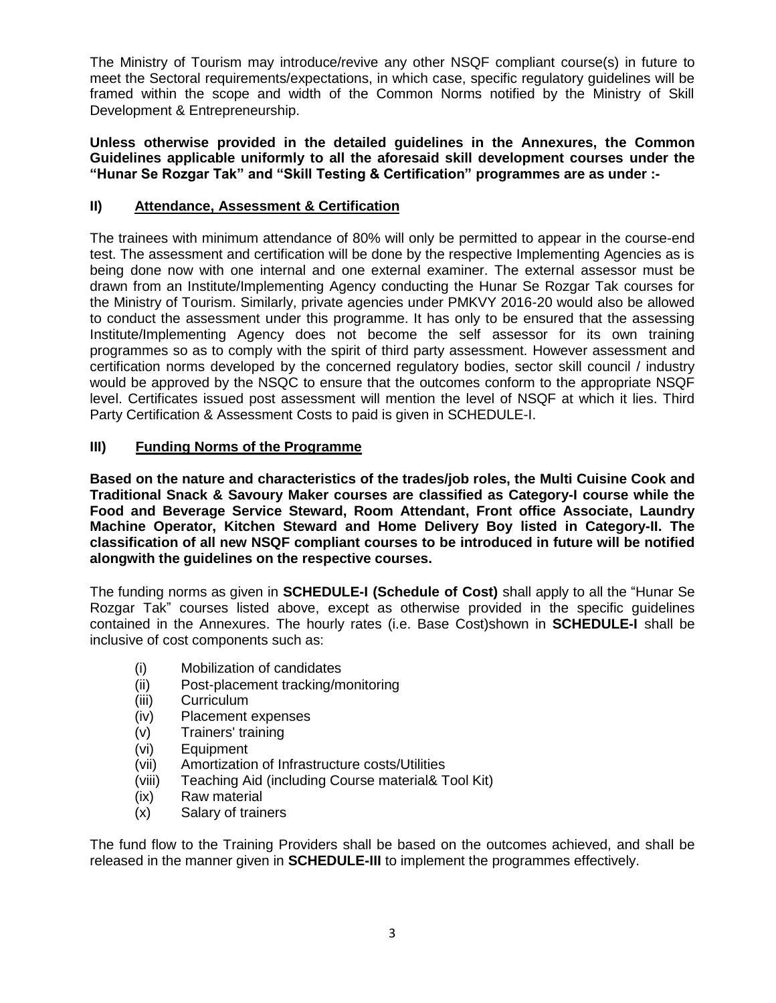The Ministry of Tourism may introduce/revive any other NSQF compliant course(s) in future to meet the Sectoral requirements/expectations, in which case, specific regulatory guidelines will be framed within the scope and width of the Common Norms notified by the Ministry of Skill Development & Entrepreneurship.

**Unless otherwise provided in the detailed guidelines in the Annexures, the Common Guidelines applicable uniformly to all the aforesaid skill development courses under the "Hunar Se Rozgar Tak" and "Skill Testing & Certification" programmes are as under :-**

### **II) Attendance, Assessment & Certification**

The trainees with minimum attendance of 80% will only be permitted to appear in the course-end test. The assessment and certification will be done by the respective Implementing Agencies as is being done now with one internal and one external examiner. The external assessor must be drawn from an Institute/Implementing Agency conducting the Hunar Se Rozgar Tak courses for the Ministry of Tourism. Similarly, private agencies under PMKVY 2016-20 would also be allowed to conduct the assessment under this programme. It has only to be ensured that the assessing Institute/Implementing Agency does not become the self assessor for its own training programmes so as to comply with the spirit of third party assessment. However assessment and certification norms developed by the concerned regulatory bodies, sector skill council / industry would be approved by the NSQC to ensure that the outcomes conform to the appropriate NSQF level. Certificates issued post assessment will mention the level of NSQF at which it lies. Third Party Certification & Assessment Costs to paid is given in SCHEDULE-I.

# **III) Funding Norms of the Programme**

**Based on the nature and characteristics of the trades/job roles, the Multi Cuisine Cook and Traditional Snack & Savoury Maker courses are classified as Category-I course while the Food and Beverage Service Steward, Room Attendant, Front office Associate, Laundry Machine Operator, Kitchen Steward and Home Delivery Boy listed in Category-II. The classification of all new NSQF compliant courses to be introduced in future will be notified alongwith the guidelines on the respective courses.** 

The funding norms as given in **SCHEDULE-I (Schedule of Cost)** shall apply to all the "Hunar Se Rozgar Tak" courses listed above, except as otherwise provided in the specific guidelines contained in the Annexures. The hourly rates (i.e. Base Cost)shown in **SCHEDULE-I** shall be inclusive of cost components such as:

- (i) Mobilization of candidates
- (ii) Post-placement tracking/monitoring
- (iii) Curriculum
- (iv) Placement expenses
- (v) Trainers' training
- (vi) Equipment
- (vii) Amortization of Infrastructure costs/Utilities
- (viii) Teaching Aid (including Course material& Tool Kit)
- (ix) Raw material
- (x) Salary of trainers

The fund flow to the Training Providers shall be based on the outcomes achieved, and shall be released in the manner given in **SCHEDULE-III** to implement the programmes effectively.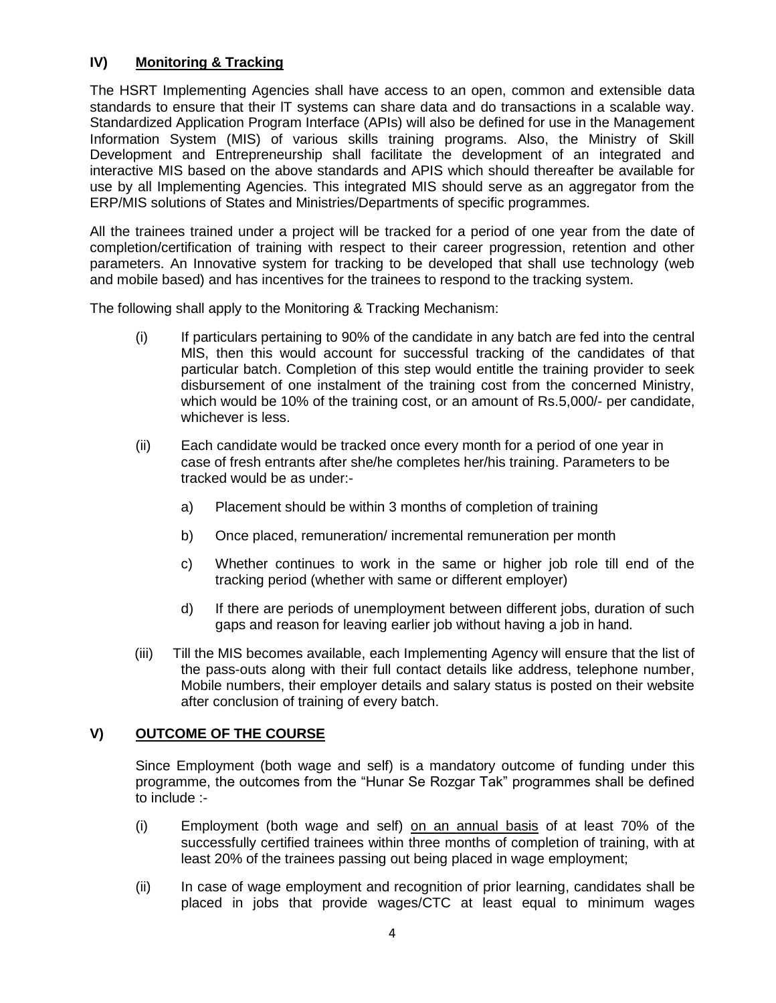# **IV) Monitoring & Tracking**

The HSRT Implementing Agencies shall have access to an open, common and extensible data standards to ensure that their lT systems can share data and do transactions in a scalable way. Standardized Application Program Interface (APIs) will also be defined for use in the Management Information System (MIS) of various skills training programs. Also, the Ministry of Skill Development and Entrepreneurship shall facilitate the development of an integrated and interactive MIS based on the above standards and APIS which should thereafter be available for use by all Implementing Agencies. This integrated MIS should serve as an aggregator from the ERP/MIS solutions of States and Ministries/Departments of specific programmes.

All the trainees trained under a project will be tracked for a period of one year from the date of completion/certification of training with respect to their career progression, retention and other parameters. An Innovative system for tracking to be developed that shall use technology (web and mobile based) and has incentives for the trainees to respond to the tracking system.

The following shall apply to the Monitoring & Tracking Mechanism:

- (i) If particulars pertaining to 90% of the candidate in any batch are fed into the central MlS, then this would account for successful tracking of the candidates of that particular batch. Completion of this step would entitle the training provider to seek disbursement of one instalment of the training cost from the concerned Ministry, which would be 10% of the training cost, or an amount of Rs.5,000/- per candidate, whichever is less.
- (ii) Each candidate would be tracked once every month for a period of one year in case of fresh entrants after she/he completes her/his training. Parameters to be tracked would be as under:
	- a) Placement should be within 3 months of completion of training
	- b) Once placed, remuneration/ incremental remuneration per month
	- c) Whether continues to work in the same or higher job role till end of the tracking period (whether with same or different employer)
	- d) If there are periods of unemployment between different jobs, duration of such gaps and reason for leaving earlier job without having a job in hand.
- (iii) Till the MIS becomes available, each Implementing Agency will ensure that the list of the pass-outs along with their full contact details like address, telephone number, Mobile numbers, their employer details and salary status is posted on their website after conclusion of training of every batch.

### **V) OUTCOME OF THE COURSE**

Since Employment (both wage and self) is a mandatory outcome of funding under this programme, the outcomes from the "Hunar Se Rozgar Tak" programmes shall be defined to include :-

- (i) Employment (both wage and self) on an annual basis of at least 70% of the successfully certified trainees within three months of completion of training, with at least 20% of the trainees passing out being placed in wage employment;
- (ii) In case of wage employment and recognition of prior learning, candidates shall be placed in jobs that provide wages/CTC at least equal to minimum wages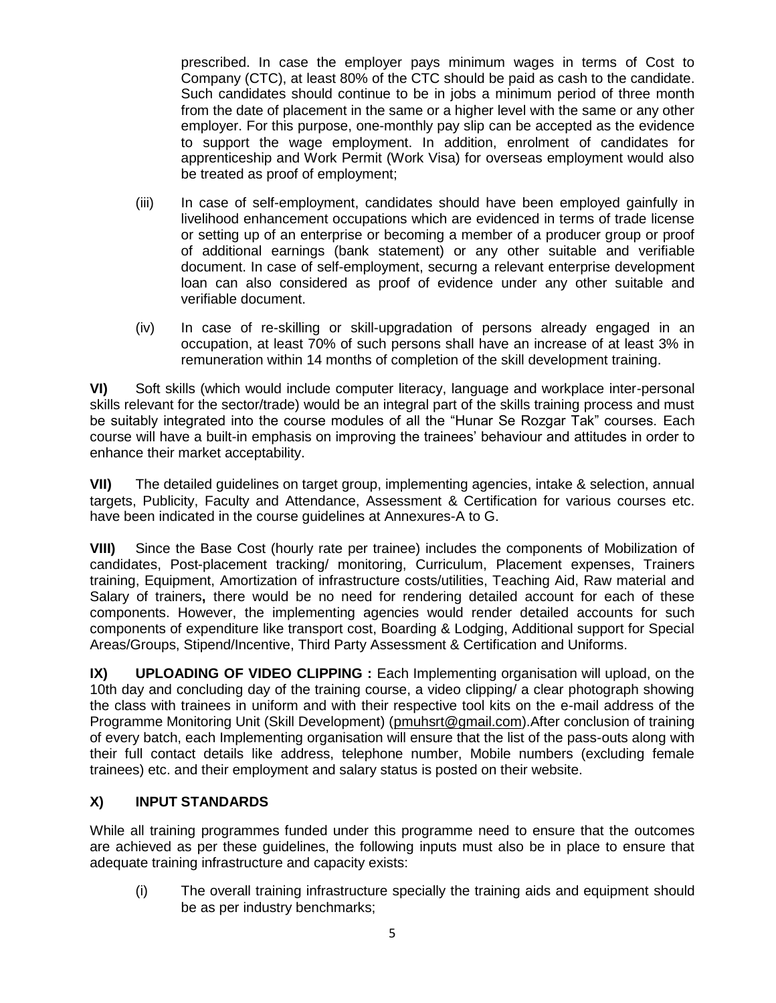prescribed. In case the employer pays minimum wages in terms of Cost to Company (CTC), at least 80% of the CTC should be paid as cash to the candidate. Such candidates should continue to be in jobs a minimum period of three month from the date of placement in the same or a higher level with the same or any other employer. For this purpose, one-monthly pay slip can be accepted as the evidence to support the wage employment. In addition, enrolment of candidates for apprenticeship and Work Permit (Work Visa) for overseas employment would also be treated as proof of employment;

- (iii) In case of self-employment, candidates should have been employed gainfully in livelihood enhancement occupations which are evidenced in terms of trade license or setting up of an enterprise or becoming a member of a producer group or proof of additional earnings (bank statement) or any other suitable and verifiable document. In case of self-employment, securng a relevant enterprise development loan can also considered as proof of evidence under any other suitable and verifiable document.
- (iv) In case of re-skilling or skill-upgradation of persons already engaged in an occupation, at least 70% of such persons shall have an increase of at least 3% in remuneration within 14 months of completion of the skill development training.

**VI)** Soft skills (which would include computer literacy, language and workplace inter-personal skills relevant for the sector/trade) would be an integral part of the skills training process and must be suitably integrated into the course modules of all the "Hunar Se Rozgar Tak" courses. Each course will have a built-in emphasis on improving the trainees' behaviour and attitudes in order to enhance their market acceptability.

**VII)** The detailed guidelines on target group, implementing agencies, intake & selection, annual targets, Publicity, Faculty and Attendance, Assessment & Certification for various courses etc. have been indicated in the course guidelines at Annexures-A to G.

**VIII)** Since the Base Cost (hourly rate per trainee) includes the components of Mobilization of candidates, Post-placement tracking/ monitoring, Curriculum, Placement expenses, Trainers training, Equipment, Amortization of infrastructure costs/utilities, Teaching Aid, Raw material and Salary of trainers**,** there would be no need for rendering detailed account for each of these components. However, the implementing agencies would render detailed accounts for such components of expenditure like transport cost, Boarding & Lodging, Additional support for Special Areas/Groups, Stipend/Incentive, Third Party Assessment & Certification and Uniforms.

**IX) UPLOADING OF VIDEO CLIPPING :** Each Implementing organisation will upload, on the 10th day and concluding day of the training course, a video clipping/ a clear photograph showing the class with trainees in uniform and with their respective tool kits on the e-mail address of the Programme Monitoring Unit (Skill Development) [\(pmuhsrt@gmail.com\)](mailto:pmuhsrt@gmail.com).After conclusion of training of every batch, each Implementing organisation will ensure that the list of the pass-outs along with their full contact details like address, telephone number, Mobile numbers (excluding female trainees) etc. and their employment and salary status is posted on their website.

# **X) INPUT STANDARDS**

While all training programmes funded under this programme need to ensure that the outcomes are achieved as per these guidelines, the following inputs must also be in place to ensure that adequate training infrastructure and capacity exists:

(i) The overall training infrastructure specially the training aids and equipment should be as per industry benchmarks;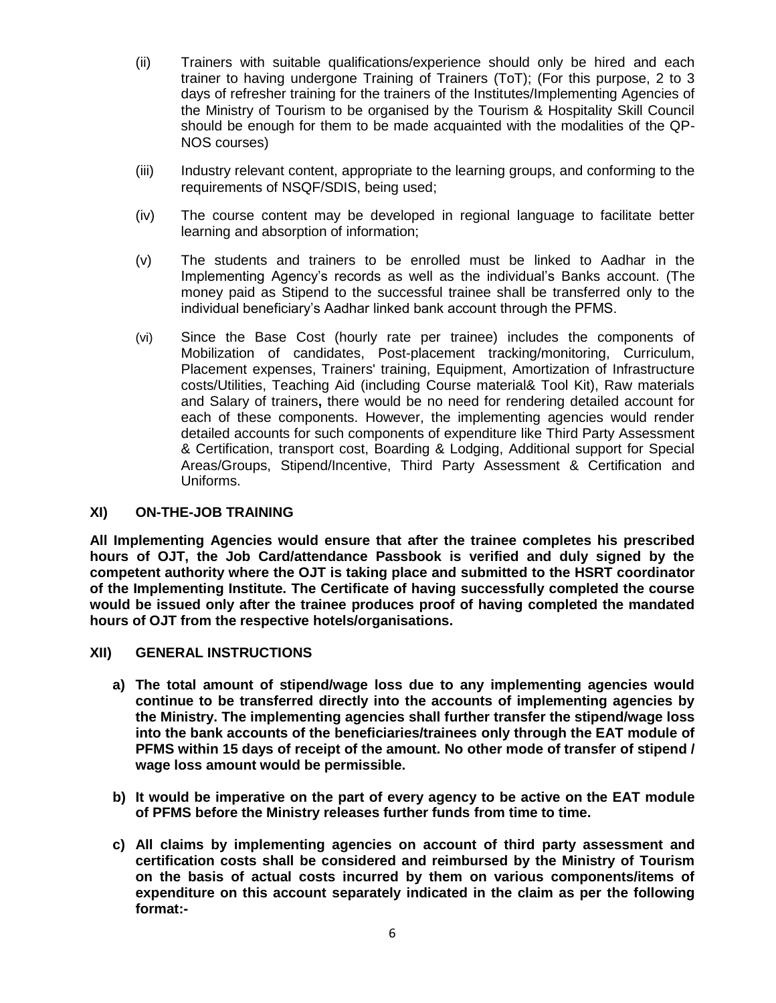- (ii) Trainers with suitable qualifications/experience should only be hired and each trainer to having undergone Training of Trainers (ToT); (For this purpose, 2 to 3 days of refresher training for the trainers of the Institutes/Implementing Agencies of the Ministry of Tourism to be organised by the Tourism & Hospitality Skill Council should be enough for them to be made acquainted with the modalities of the QP-NOS courses)
- (iii) Industry relevant content, appropriate to the learning groups, and conforming to the requirements of NSQF/SDIS, being used;
- (iv) The course content may be developed in regional language to facilitate better learning and absorption of information;
- (v) The students and trainers to be enrolled must be linked to Aadhar in the Implementing Agency's records as well as the individual's Banks account. (The money paid as Stipend to the successful trainee shall be transferred only to the individual beneficiary's Aadhar linked bank account through the PFMS.
- (vi) Since the Base Cost (hourly rate per trainee) includes the components of Mobilization of candidates, Post-placement tracking/monitoring, Curriculum, Placement expenses, Trainers' training, Equipment, Amortization of Infrastructure costs/Utilities, Teaching Aid (including Course material& Tool Kit), Raw materials and Salary of trainers**,** there would be no need for rendering detailed account for each of these components. However, the implementing agencies would render detailed accounts for such components of expenditure like Third Party Assessment & Certification, transport cost, Boarding & Lodging, Additional support for Special Areas/Groups, Stipend/Incentive, Third Party Assessment & Certification and Uniforms.

### **XI) ON-THE-JOB TRAINING**

**All Implementing Agencies would ensure that after the trainee completes his prescribed hours of OJT, the Job Card/attendance Passbook is verified and duly signed by the competent authority where the OJT is taking place and submitted to the HSRT coordinator of the Implementing Institute. The Certificate of having successfully completed the course would be issued only after the trainee produces proof of having completed the mandated hours of OJT from the respective hotels/organisations.**

#### **XII) GENERAL INSTRUCTIONS**

- **a) The total amount of stipend/wage loss due to any implementing agencies would continue to be transferred directly into the accounts of implementing agencies by the Ministry. The implementing agencies shall further transfer the stipend/wage loss into the bank accounts of the beneficiaries/trainees only through the EAT module of PFMS within 15 days of receipt of the amount. No other mode of transfer of stipend / wage loss amount would be permissible.**
- **b) It would be imperative on the part of every agency to be active on the EAT module of PFMS before the Ministry releases further funds from time to time.**
- **c) All claims by implementing agencies on account of third party assessment and certification costs shall be considered and reimbursed by the Ministry of Tourism on the basis of actual costs incurred by them on various components/items of expenditure on this account separately indicated in the claim as per the following format:-**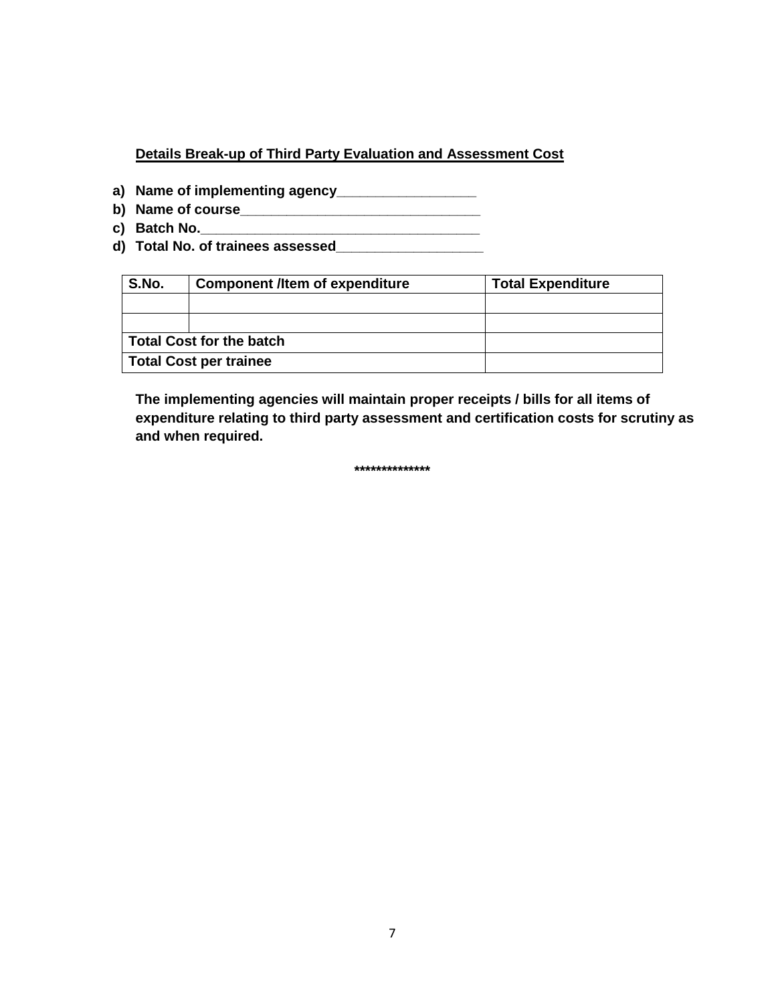# **Details Break-up of Third Party Evaluation and Assessment Cost**

- **a) Name of implementing agency\_\_\_\_\_\_\_\_\_\_\_\_\_\_\_\_\_\_**
- **b) Name of course\_\_\_\_\_\_\_\_\_\_\_\_\_\_\_\_\_\_\_\_\_\_\_\_\_\_\_\_\_\_\_**
- **c) Batch No.\_\_\_\_\_\_\_\_\_\_\_\_\_\_\_\_\_\_\_\_\_\_\_\_\_\_\_\_\_\_\_\_\_\_\_\_**
- **d) Total No. of trainees assessed\_\_\_\_\_\_\_\_\_\_\_\_\_\_\_\_\_\_\_**

| S.No.                           | <b>Component /Item of expenditure</b> | <b>Total Expenditure</b> |  |  |
|---------------------------------|---------------------------------------|--------------------------|--|--|
|                                 |                                       |                          |  |  |
|                                 |                                       |                          |  |  |
| <b>Total Cost for the batch</b> |                                       |                          |  |  |
|                                 | <b>Total Cost per trainee</b>         |                          |  |  |

**The implementing agencies will maintain proper receipts / bills for all items of expenditure relating to third party assessment and certification costs for scrutiny as and when required.**

**\*\*\*\*\*\*\*\*\*\*\*\*\*\***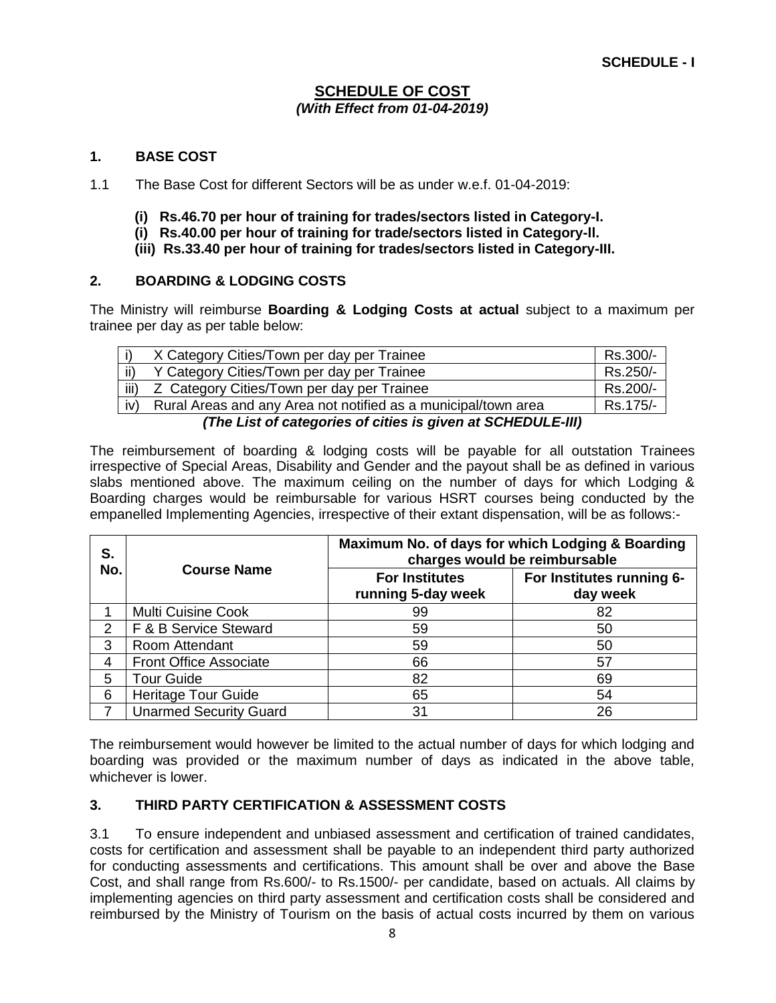### **SCHEDULE OF COST** *(With Effect from 01-04-2019)*

### **1. BASE COST**

1.1 The Base Cost for different Sectors will be as under w.e.f. 01-04-2019:

- **(i) Rs.46.70 per hour of training for trades/sectors listed in Category-I.**
- **(i) Rs.40.00 per hour of training for trade/sectors listed in Category-ll.**
- **(iii) Rs.33.40 per hour of training for trades/sectors listed in Category-III.**

# **2. BOARDING & LODGING COSTS**

The Ministry will reimburse **Boarding & Lodging Costs at actual** subject to a maximum per trainee per day as per table below:

|      | X Category Cities/Town per day per Trainee                     | Rs.300/- |  |  |  |
|------|----------------------------------------------------------------|----------|--|--|--|
| ii)  | Y Category Cities/Town per day per Trainee                     | Rs.250/- |  |  |  |
| iii) | Z Category Cities/Town per day per Trainee                     | Rs.200/- |  |  |  |
| iv)  | Rural Areas and any Area not notified as a municipal/town area | Rs.175/- |  |  |  |
|      | (The List of categories of cities is given at SCHEDULE-III)    |          |  |  |  |

The reimbursement of boarding & lodging costs will be payable for all outstation Trainees irrespective of Special Areas, Disability and Gender and the payout shall be as defined in various slabs mentioned above. The maximum ceiling on the number of days for which Lodging & Boarding charges would be reimbursable for various HSRT courses being conducted by the empanelled Implementing Agencies, irrespective of their extant dispensation, will be as follows:-

| S.  |                               | Maximum No. of days for which Lodging & Boarding<br>charges would be reimbursable |                                       |  |  |
|-----|-------------------------------|-----------------------------------------------------------------------------------|---------------------------------------|--|--|
| No. | <b>Course Name</b>            | <b>For Institutes</b><br>running 5-day week                                       | For Institutes running 6-<br>day week |  |  |
|     | <b>Multi Cuisine Cook</b>     | 99                                                                                | 82                                    |  |  |
| 2   | F & B Service Steward         | 59                                                                                | 50                                    |  |  |
| 3   | Room Attendant                | 59                                                                                | 50                                    |  |  |
| 4   | <b>Front Office Associate</b> | 66                                                                                | 57                                    |  |  |
| 5   | <b>Tour Guide</b>             | 82                                                                                | 69                                    |  |  |
| 6   | <b>Heritage Tour Guide</b>    | 65                                                                                | 54                                    |  |  |
|     | <b>Unarmed Security Guard</b> | 31                                                                                | 26                                    |  |  |

The reimbursement would however be limited to the actual number of days for which lodging and boarding was provided or the maximum number of days as indicated in the above table, whichever is lower.

### **3. THIRD PARTY CERTIFICATION & ASSESSMENT COSTS**

3.1 To ensure independent and unbiased assessment and certification of trained candidates, costs for certification and assessment shall be payable to an independent third party authorized for conducting assessments and certifications. This amount shall be over and above the Base Cost, and shall range from Rs.600/- to Rs.1500/- per candidate, based on actuals. All claims by implementing agencies on third party assessment and certification costs shall be considered and reimbursed by the Ministry of Tourism on the basis of actual costs incurred by them on various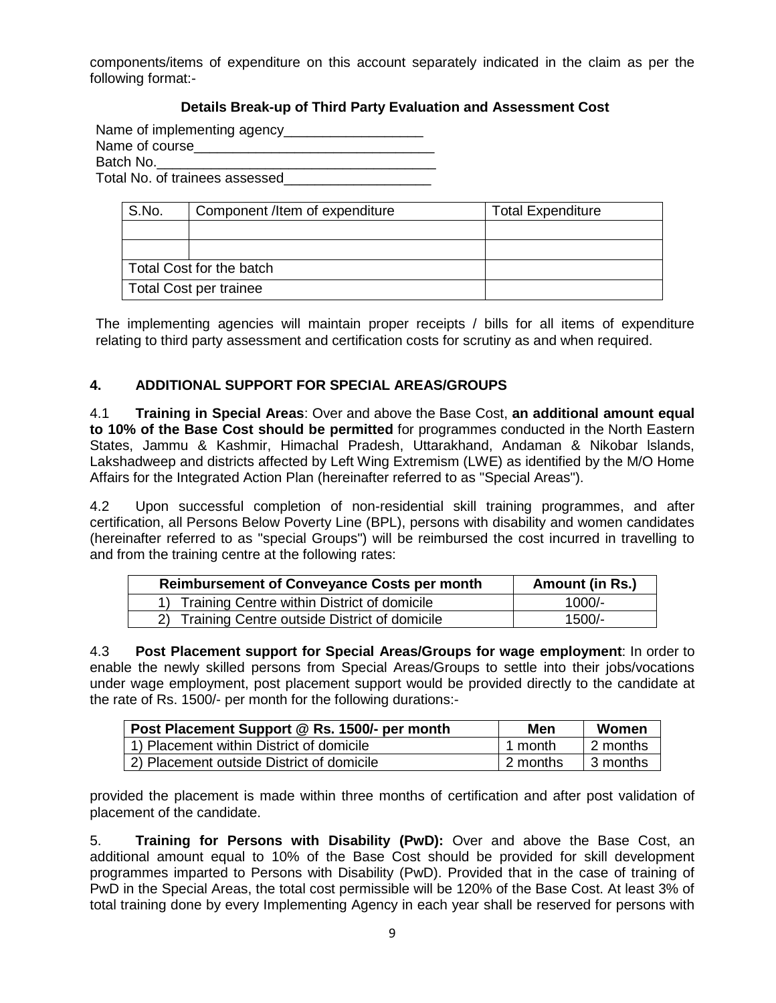components/items of expenditure on this account separately indicated in the claim as per the following format:-

# **Details Break-up of Third Party Evaluation and Assessment Cost**

Name of implementing agency\_\_\_\_\_\_\_\_\_\_\_\_\_\_\_\_\_\_

Name of course Batch No.

Total No. of trainees assessed\_\_\_\_\_\_\_\_\_\_\_\_\_\_\_\_\_\_\_

| S.No.                    | Component /Item of expenditure | <b>Total Expenditure</b> |  |  |
|--------------------------|--------------------------------|--------------------------|--|--|
|                          |                                |                          |  |  |
|                          |                                |                          |  |  |
| Total Cost for the batch |                                |                          |  |  |
| Total Cost per trainee   |                                |                          |  |  |

The implementing agencies will maintain proper receipts / bills for all items of expenditure relating to third party assessment and certification costs for scrutiny as and when required.

### **4. ADDITIONAL SUPPORT FOR SPECIAL AREAS/GROUPS**

4.1 **Training in Special Areas**: Over and above the Base Cost, **an additional amount equal to 10% of the Base Cost should be permitted** for programmes conducted in the North Eastern States, Jammu & Kashmir, Himachal Pradesh, Uttarakhand, Andaman & Nikobar lslands, Lakshadweep and districts affected by Left Wing Extremism (LWE) as identified by the M/O Home Affairs for the Integrated Action Plan (hereinafter referred to as "Special Areas").

4.2 Upon successful completion of non-residential skill training programmes, and after certification, all Persons Below Poverty Line (BPL), persons with disability and women candidates (hereinafter referred to as "special Groups") will be reimbursed the cost incurred in travelling to and from the training centre at the following rates:

| <b>Reimbursement of Conveyance Costs per month</b> | Amount (in Rs.) |
|----------------------------------------------------|-----------------|
| 1) Training Centre within District of domicile     | $1000/-$        |
| 2) Training Centre outside District of domicile    | 1500/-          |

4.3 **Post Placement support for Special Areas/Groups for wage employment**: In order to enable the newly skilled persons from Special Areas/Groups to settle into their jobs/vocations under wage employment, post placement support would be provided directly to the candidate at the rate of Rs. 1500/- per month for the following durations:-

| Post Placement Support @ Rs. 1500/- per month | Men        | Women      |
|-----------------------------------------------|------------|------------|
| 1) Placement within District of domicile      | l 1 month  | l 2 months |
| 2) Placement outside District of domicile     | l 2 months | ∣ 3 months |

provided the placement is made within three months of certification and after post validation of placement of the candidate.

5. **Training for Persons with Disability (PwD):** Over and above the Base Cost, an additional amount equal to 10% of the Base Cost should be provided for skill development programmes imparted to Persons with Disability (PwD). Provided that in the case of training of PwD in the Special Areas, the total cost permissible will be 120% of the Base Cost. At least 3% of total training done by every Implementing Agency in each year shall be reserved for persons with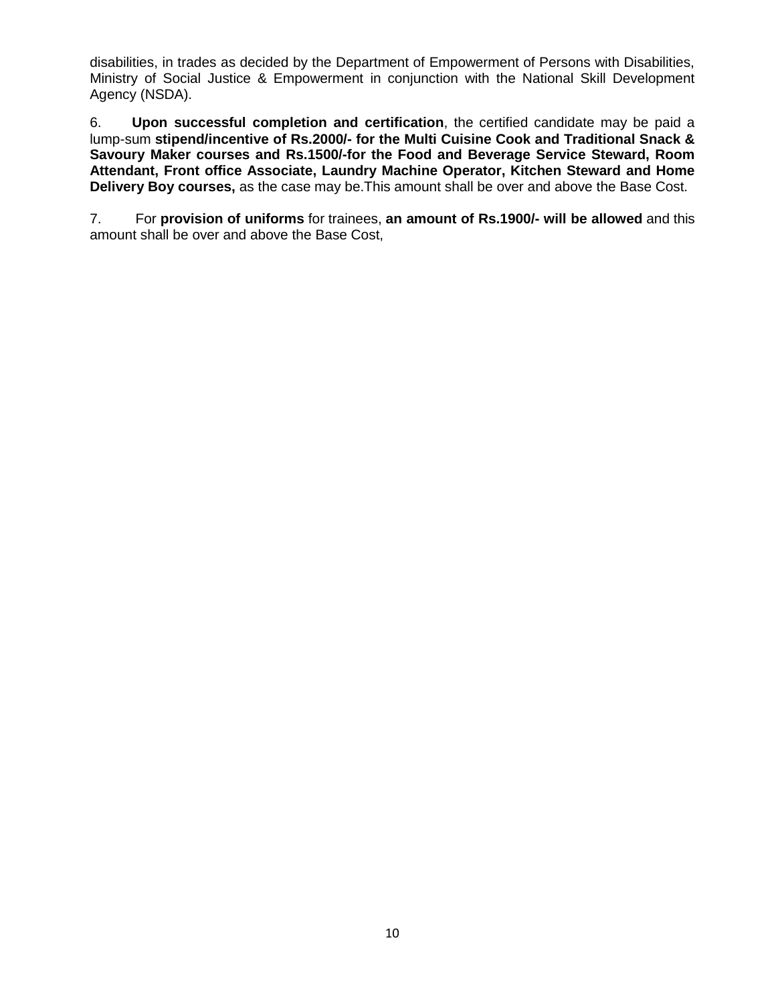disabilities, in trades as decided by the Department of Empowerment of Persons with Disabilities, Ministry of Social Justice & Empowerment in conjunction with the National Skill Development Agency (NSDA).

6. **Upon successful completion and certification**, the certified candidate may be paid a lump-sum **stipend/incentive of Rs.2000/- for the Multi Cuisine Cook and Traditional Snack & Savoury Maker courses and Rs.1500/-for the Food and Beverage Service Steward, Room Attendant, Front office Associate, Laundry Machine Operator, Kitchen Steward and Home Delivery Boy courses,** as the case may be.This amount shall be over and above the Base Cost.

7. For **provision of uniforms** for trainees, **an amount of Rs.1900/- will be allowed** and this amount shall be over and above the Base Cost,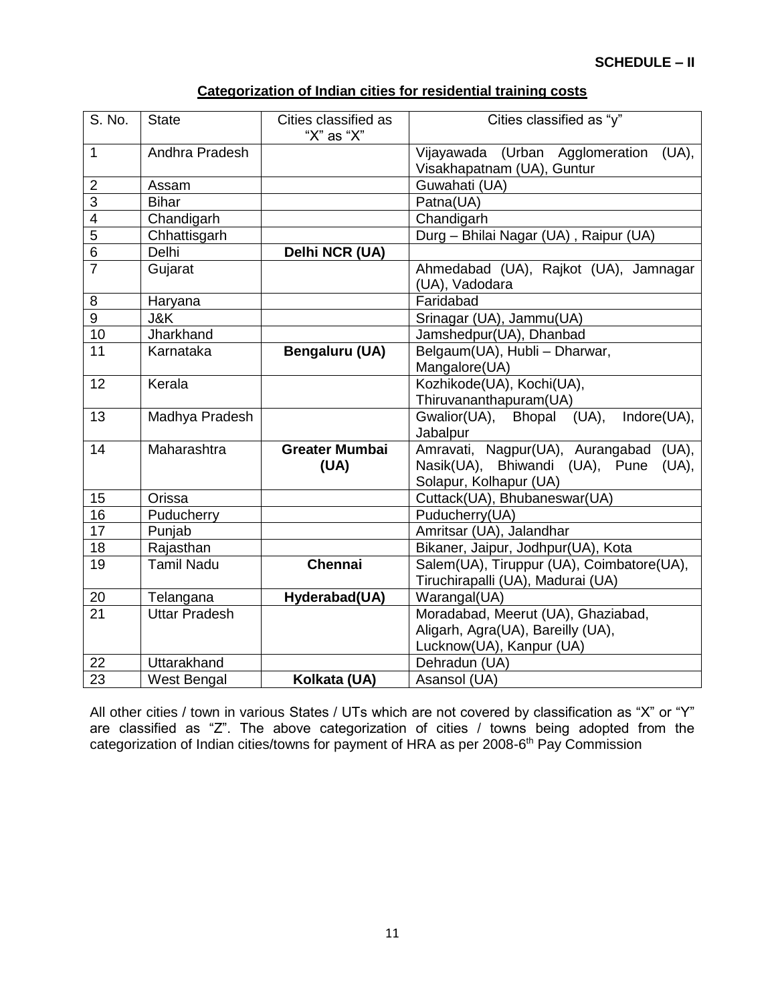| Categorization of Indian cities for residential training costs |  |  |
|----------------------------------------------------------------|--|--|
|                                                                |  |  |

| S. No.          | <b>State</b>         | Cities classified as<br>"X" as "X" | Cities classified as "y"                  |  |
|-----------------|----------------------|------------------------------------|-------------------------------------------|--|
| $\mathbf{1}$    | Andhra Pradesh       |                                    | Vijayawada (Urban Agglomeration<br>(UA),  |  |
|                 |                      |                                    | Visakhapatnam (UA), Guntur                |  |
| $\overline{2}$  | Assam                |                                    | Guwahati (UA)                             |  |
| $\overline{3}$  | <b>Bihar</b>         |                                    | Patna(UA)                                 |  |
| 4               | Chandigarh           |                                    | Chandigarh                                |  |
| $\overline{5}$  | Chhattisgarh         |                                    | Durg - Bhilai Nagar (UA), Raipur (UA)     |  |
| 6               | Delhi                | Delhi NCR (UA)                     |                                           |  |
| $\overline{7}$  | Gujarat              |                                    | Ahmedabad (UA), Rajkot (UA), Jamnagar     |  |
|                 |                      |                                    | (UA), Vadodara                            |  |
| 8               | Haryana              |                                    | Faridabad                                 |  |
| $\overline{9}$  | J&K                  |                                    | Srinagar (UA), Jammu(UA)                  |  |
| 10              | Jharkhand            |                                    | Jamshedpur(UA), Dhanbad                   |  |
| 11              | Karnataka            | Bengaluru (UA)                     | Belgaum(UA), Hubli - Dharwar,             |  |
|                 |                      |                                    | Mangalore(UA)                             |  |
| 12              | Kerala               |                                    | Kozhikode(UA), Kochi(UA),                 |  |
|                 |                      |                                    | Thiruvananthapuram(UA)                    |  |
| 13              | Madhya Pradesh       |                                    | Indore(UA),<br>Gwalior(UA), Bhopal (UA),  |  |
|                 |                      |                                    | Jabalpur                                  |  |
| 14              | Maharashtra          | <b>Greater Mumbai</b>              | Amravati, Nagpur(UA), Aurangabad (UA),    |  |
|                 |                      | (UA)                               | Nasik(UA), Bhiwandi (UA), Pune<br>(UA),   |  |
|                 |                      |                                    | Solapur, Kolhapur (UA)                    |  |
| 15              | Orissa               |                                    | Cuttack(UA), Bhubaneswar(UA)              |  |
| 16              | Puducherry           |                                    | Puducherry(UA)                            |  |
| 17              | Punjab               |                                    | Amritsar (UA), Jalandhar                  |  |
| 18              | Rajasthan            |                                    | Bikaner, Jaipur, Jodhpur(UA), Kota        |  |
| $\overline{19}$ | <b>Tamil Nadu</b>    | Chennai                            | Salem(UA), Tiruppur (UA), Coimbatore(UA), |  |
|                 |                      |                                    | Tiruchirapalli (UA), Madurai (UA)         |  |
| 20              | Telangana            | Hyderabad(UA)                      | Warangal(UA)                              |  |
| 21              | <b>Uttar Pradesh</b> |                                    | Moradabad, Meerut (UA), Ghaziabad,        |  |
|                 |                      |                                    | Aligarh, Agra(UA), Bareilly (UA),         |  |
|                 |                      |                                    | Lucknow(UA), Kanpur (UA)                  |  |
| 22              | Uttarakhand          |                                    | Dehradun (UA)                             |  |
| 23              | <b>West Bengal</b>   | Kolkata (UA)                       | Asansol (UA)                              |  |

All other cities / town in various States / UTs which are not covered by classification as "X" or "Y" are classified as "Z". The above categorization of cities / towns being adopted from the categorization of Indian cities/towns for payment of HRA as per 2008-6<sup>th</sup> Pay Commission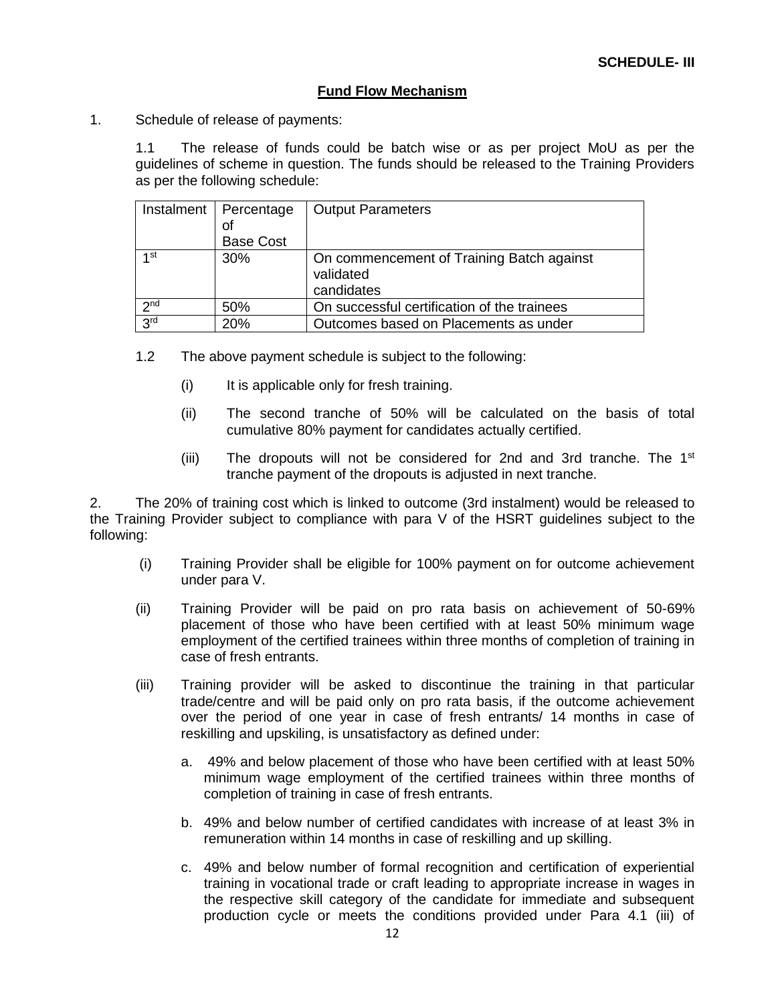#### **Fund Flow Mechanism**

1. Schedule of release of payments:

1.1 The release of funds could be batch wise or as per project MoU as per the guidelines of scheme in question. The funds should be released to the Training Providers as per the following schedule:

| Instalment      | Percentage<br>οf<br><b>Base Cost</b> | <b>Output Parameters</b>                                             |
|-----------------|--------------------------------------|----------------------------------------------------------------------|
| 1 <sub>st</sub> | 30%                                  | On commencement of Training Batch against<br>validated<br>candidates |
| 2 <sub>nd</sub> | 50%                                  | On successful certification of the trainees                          |
| 3 <sup>rd</sup> | 20%                                  | Outcomes based on Placements as under                                |

- 1.2 The above payment schedule is subject to the following:
	- (i) It is applicable only for fresh training.
	- (ii) The second tranche of 50% will be calculated on the basis of total cumulative 80% payment for candidates actually certified.
	- (iii) The dropouts will not be considered for 2nd and 3rd tranche. The  $1<sup>st</sup>$ tranche payment of the dropouts is adjusted in next tranche.

2. The 20% of training cost which is linked to outcome (3rd instalment) would be released to the Training Provider subject to compliance with para V of the HSRT guidelines subject to the following:

- (i) Training Provider shall be eligible for 100% payment on for outcome achievement under para V.
- (ii) Training Provider will be paid on pro rata basis on achievement of 50-69% placement of those who have been certified with at least 50% minimum wage employment of the certified trainees within three months of completion of training in case of fresh entrants.
- (iii) Training provider will be asked to discontinue the training in that particular trade/centre and will be paid only on pro rata basis, if the outcome achievement over the period of one year in case of fresh entrants/ 14 months in case of reskilling and upskiling, is unsatisfactory as defined under:
	- a. 49% and below placement of those who have been certified with at least 50% minimum wage employment of the certified trainees within three months of completion of training in case of fresh entrants.
	- b. 49% and below number of certified candidates with increase of at least 3% in remuneration within 14 months in case of reskilling and up skilling.
	- c. 49% and below number of formal recognition and certification of experiential training in vocational trade or craft leading to appropriate increase in wages in the respective skill category of the candidate for immediate and subsequent production cycle or meets the conditions provided under Para 4.1 (iii) of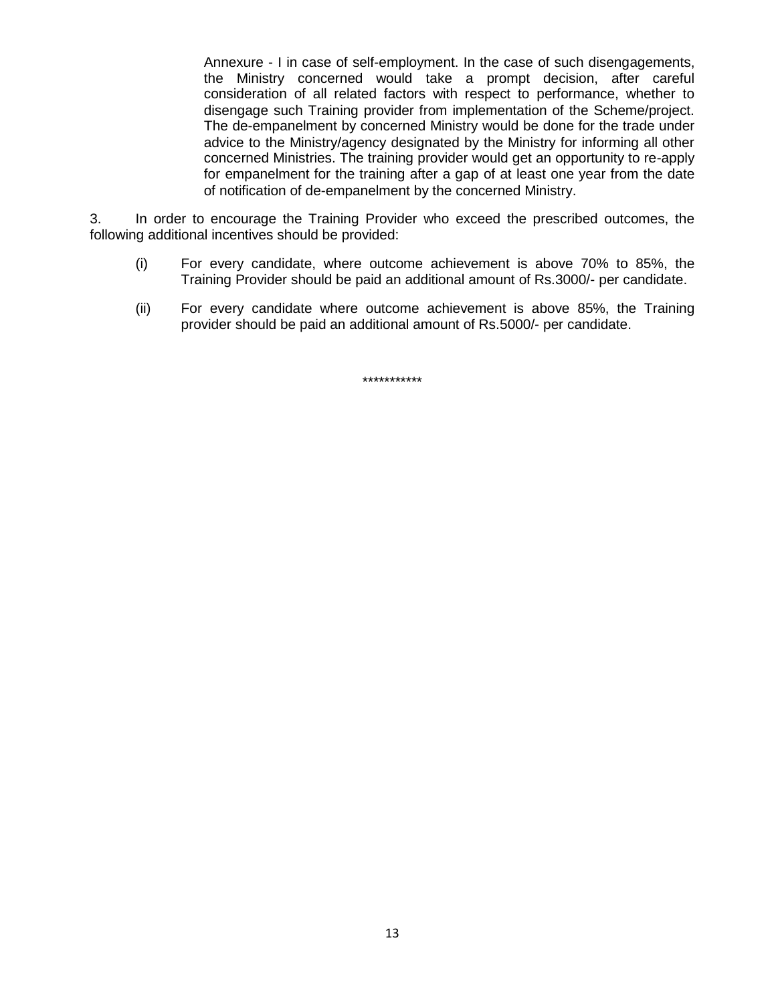Annexure - I in case of self-employment. In the case of such disengagements, the Ministry concerned would take a prompt decision, after careful consideration of all related factors with respect to performance, whether to disengage such Training provider from implementation of the Scheme/project. The de-empanelment by concerned Ministry would be done for the trade under advice to the Ministry/agency designated by the Ministry for informing all other concerned Ministries. The training provider would get an opportunity to re-apply for empanelment for the training after a gap of at least one year from the date of notification of de-empanelment by the concerned Ministry.

3. In order to encourage the Training Provider who exceed the prescribed outcomes, the following additional incentives should be provided:

- (i) For every candidate, where outcome achievement is above 70% to 85%, the Training Provider should be paid an additional amount of Rs.3000/- per candidate.
- (ii) For every candidate where outcome achievement is above 85%, the Training provider should be paid an additional amount of Rs.5000/- per candidate.

\*\*\*\*\*\*\*\*\*\*\*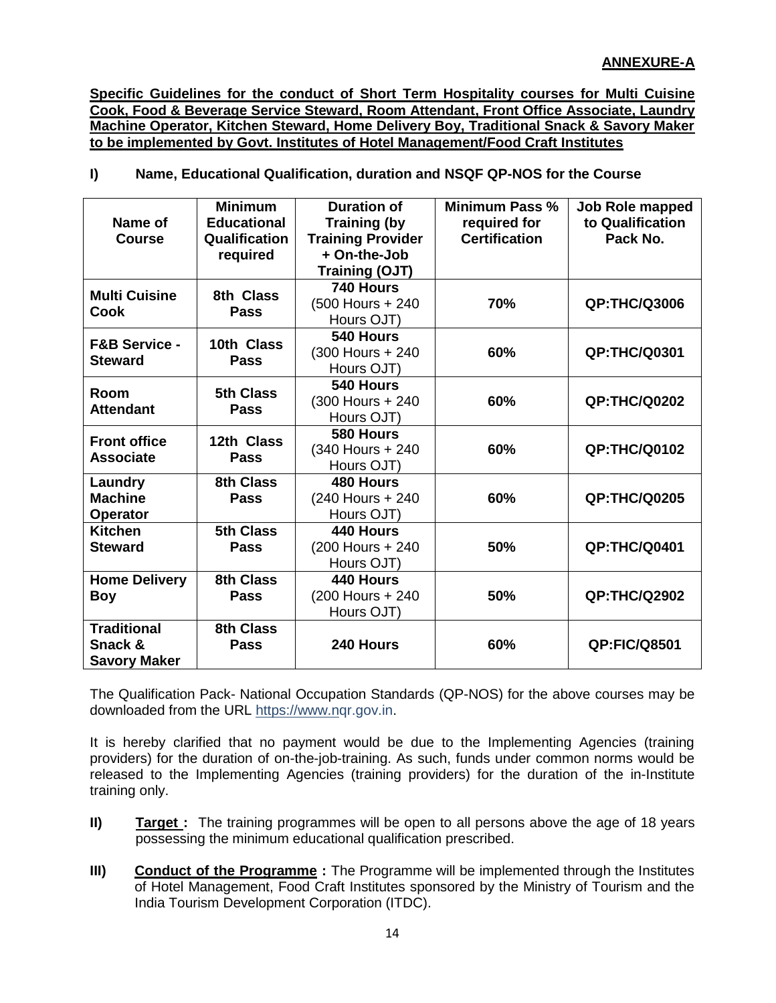**Specific Guidelines for the conduct of Short Term Hospitality courses for Multi Cuisine Cook, Food & Beverage Service Steward, Room Attendant, Front Office Associate, Laundry Machine Operator, Kitchen Steward, Home Delivery Boy, Traditional Snack & Savory Maker to be implemented by Govt. Institutes of Hotel Management/Food Craft Institutes**

**I) Name, Educational Qualification, duration and NSQF QP-NOS for the Course**

|                          | <b>Minimum</b>     | <b>Duration of</b>       | Minimum Pass %       | Job Role mapped     |
|--------------------------|--------------------|--------------------------|----------------------|---------------------|
| Name of                  | <b>Educational</b> | <b>Training (by</b>      | required for         | to Qualification    |
| <b>Course</b>            | Qualification      | <b>Training Provider</b> | <b>Certification</b> | Pack No.            |
|                          | required           | + On-the-Job             |                      |                     |
|                          |                    | <b>Training (OJT)</b>    |                      |                     |
| <b>Multi Cuisine</b>     | 8th Class          | 740 Hours                |                      |                     |
| <b>Cook</b>              | <b>Pass</b>        | (500 Hours + 240)        | 70%                  | <b>QP:THC/Q3006</b> |
|                          |                    | Hours OJT)               |                      |                     |
| <b>F&amp;B Service -</b> | 10th Class         | 540 Hours                |                      |                     |
|                          |                    | (300 Hours + 240)        | 60%                  | <b>QP:THC/Q0301</b> |
| <b>Steward</b>           | <b>Pass</b>        | Hours OJT)               |                      |                     |
|                          | <b>5th Class</b>   | 540 Hours                |                      |                     |
| Room                     |                    | (300 Hours + 240)        | 60%                  | <b>QP:THC/Q0202</b> |
| <b>Attendant</b>         | <b>Pass</b>        | Hours OJT)               |                      |                     |
| <b>Front office</b>      | 12th Class         | 580 Hours                |                      |                     |
| <b>Associate</b>         |                    | (340 Hours + 240)        | 60%                  | <b>QP:THC/Q0102</b> |
|                          | <b>Pass</b>        | Hours OJT)               |                      |                     |
| Laundry                  | 8th Class          | 480 Hours                |                      |                     |
| <b>Machine</b>           | <b>Pass</b>        | (240 Hours + 240)        | 60%                  | <b>QP:THC/Q0205</b> |
| <b>Operator</b>          |                    | Hours OJT)               |                      |                     |
| <b>Kitchen</b>           | 5th Class          | 440 Hours                |                      |                     |
| <b>Steward</b>           | <b>Pass</b>        | (200 Hours + 240)        | 50%                  | <b>QP:THC/Q0401</b> |
|                          |                    | Hours OJT)               |                      |                     |
| <b>Home Delivery</b>     | 8th Class          | 440 Hours                |                      |                     |
| Boy                      | <b>Pass</b>        | (200 Hours + 240)        | 50%                  | <b>QP:THC/Q2902</b> |
|                          |                    | Hours OJT)               |                      |                     |
| <b>Traditional</b>       | 8th Class          |                          |                      |                     |
| Snack &                  | <b>Pass</b>        | 240 Hours                | 60%                  | <b>QP:FIC/Q8501</b> |
| <b>Savory Maker</b>      |                    |                          |                      |                     |

The Qualification Pack- National Occupation Standards (QP-NOS) for the above courses may be downloaded from the URL [https://www.nq](https://www.n/)r.gov.in.

It is hereby clarified that no payment would be due to the Implementing Agencies (training providers) for the duration of on-the-job-training. As such, funds under common norms would be released to the Implementing Agencies (training providers) for the duration of the in-Institute training only.

- **II) Target :** The training programmes will be open to all persons above the age of 18 years possessing the minimum educational qualification prescribed.
- **III)** Conduct of the Programme : The Programme will be implemented through the Institutes of Hotel Management, Food Craft Institutes sponsored by the Ministry of Tourism and the India Tourism Development Corporation (ITDC).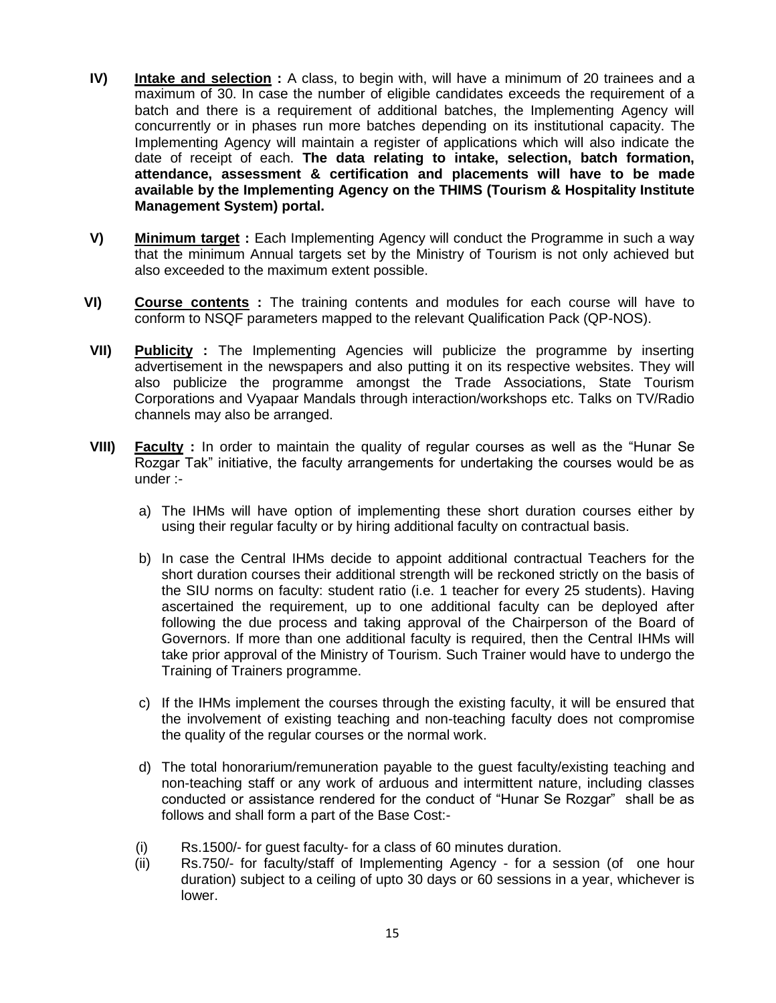- **IV) Intake and selection :** A class, to begin with, will have a minimum of 20 trainees and a maximum of 30. In case the number of eligible candidates exceeds the requirement of a batch and there is a requirement of additional batches, the Implementing Agency will concurrently or in phases run more batches depending on its institutional capacity. The Implementing Agency will maintain a register of applications which will also indicate the date of receipt of each. **The data relating to intake, selection, batch formation, attendance, assessment & certification and placements will have to be made available by the Implementing Agency on the THIMS (Tourism & Hospitality Institute Management System) portal.**
- **V) Minimum target :** Each Implementing Agency will conduct the Programme in such a way that the minimum Annual targets set by the Ministry of Tourism is not only achieved but also exceeded to the maximum extent possible.
- **VI) Course contents :** The training contents and modules for each course will have to conform to NSQF parameters mapped to the relevant Qualification Pack (QP-NOS).
- **VII) Publicity :** The Implementing Agencies will publicize the programme by inserting advertisement in the newspapers and also putting it on its respective websites. They will also publicize the programme amongst the Trade Associations, State Tourism Corporations and Vyapaar Mandals through interaction/workshops etc. Talks on TV/Radio channels may also be arranged.
- **VIII) Faculty :** In order to maintain the quality of regular courses as well as the "Hunar Se Rozgar Tak" initiative, the faculty arrangements for undertaking the courses would be as under :
	- a) The IHMs will have option of implementing these short duration courses either by using their regular faculty or by hiring additional faculty on contractual basis.
	- b) In case the Central IHMs decide to appoint additional contractual Teachers for the short duration courses their additional strength will be reckoned strictly on the basis of the SIU norms on faculty: student ratio (i.e. 1 teacher for every 25 students). Having ascertained the requirement, up to one additional faculty can be deployed after following the due process and taking approval of the Chairperson of the Board of Governors. If more than one additional faculty is required, then the Central IHMs will take prior approval of the Ministry of Tourism. Such Trainer would have to undergo the Training of Trainers programme.
	- c) If the IHMs implement the courses through the existing faculty, it will be ensured that the involvement of existing teaching and non-teaching faculty does not compromise the quality of the regular courses or the normal work.
	- d) The total honorarium/remuneration payable to the guest faculty/existing teaching and non-teaching staff or any work of arduous and intermittent nature, including classes conducted or assistance rendered for the conduct of "Hunar Se Rozgar" shall be as follows and shall form a part of the Base Cost:-
	- (i) Rs.1500/- for guest faculty- for a class of 60 minutes duration.
	- (ii) Rs.750/- for faculty/staff of Implementing Agency for a session (of one hour duration) subject to a ceiling of upto 30 days or 60 sessions in a year, whichever is lower.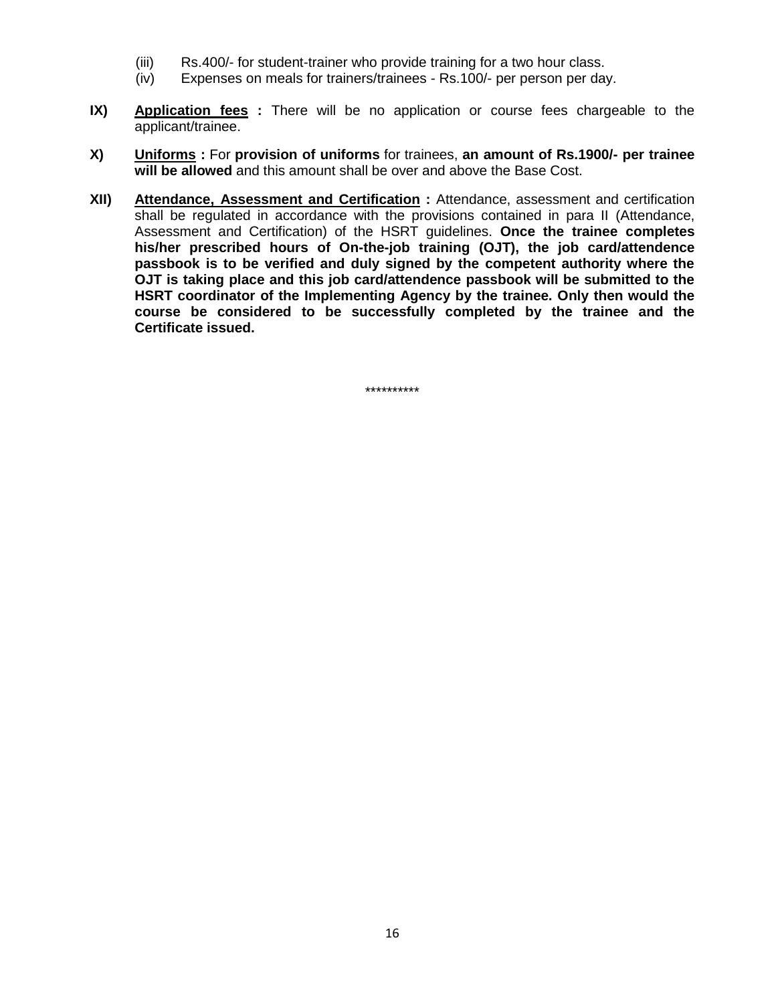- (iii) Rs.400/- for student-trainer who provide training for a two hour class.
- (iv) Expenses on meals for trainers/trainees Rs.100/- per person per day.
- **IX) Application fees** : There will be no application or course fees chargeable to the applicant/trainee.
- **X) Uniforms :** For **provision of uniforms** for trainees, **an amount of Rs.1900/- per trainee will be allowed** and this amount shall be over and above the Base Cost.
- **XII) Attendance, Assessment and Certification :** Attendance, assessment and certification shall be regulated in accordance with the provisions contained in para II (Attendance, Assessment and Certification) of the HSRT guidelines. **Once the trainee completes his/her prescribed hours of On-the-job training (OJT), the job card/attendence passbook is to be verified and duly signed by the competent authority where the OJT is taking place and this job card/attendence passbook will be submitted to the HSRT coordinator of the Implementing Agency by the trainee. Only then would the course be considered to be successfully completed by the trainee and the Certificate issued.**

\*\*\*\*\*\*\*\*\*\*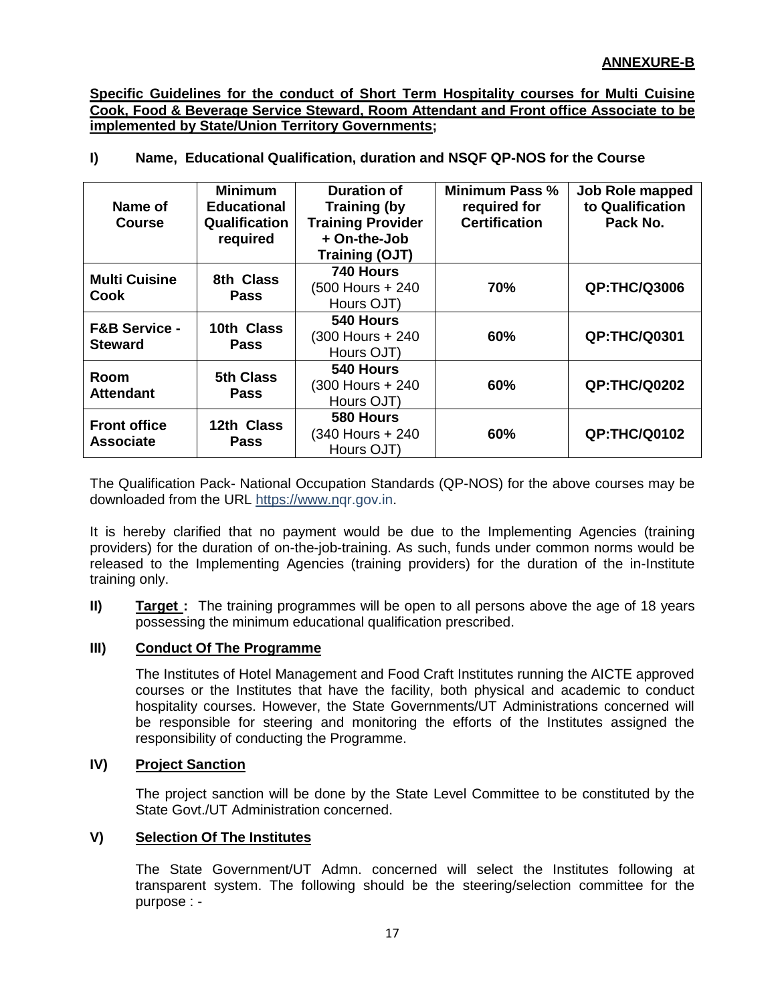**Specific Guidelines for the conduct of Short Term Hospitality courses for Multi Cuisine Cook, Food & Beverage Service Steward, Room Attendant and Front office Associate to be implemented by State/Union Territory Governments;**

| Name, Educational Qualification, duration and NSQF QP-NOS for the Course |  |  |  |  |  |
|--------------------------------------------------------------------------|--|--|--|--|--|
|--------------------------------------------------------------------------|--|--|--|--|--|

| Name of<br><b>Course</b>                   | <b>Minimum</b><br><b>Educational</b><br><b>Qualification</b><br>required | <b>Duration of</b><br><b>Training (by</b><br><b>Training Provider</b><br>+ On-the-Job<br><b>Training (OJT)</b> | <b>Minimum Pass %</b><br>required for<br><b>Certification</b> | Job Role mapped<br>to Qualification<br>Pack No. |
|--------------------------------------------|--------------------------------------------------------------------------|----------------------------------------------------------------------------------------------------------------|---------------------------------------------------------------|-------------------------------------------------|
| <b>Multi Cuisine</b><br>Cook               | 8th Class<br><b>Pass</b>                                                 | 740 Hours<br>(500 Hours + 240)<br>Hours OJT)                                                                   | 70%                                                           | <b>QP:THC/Q3006</b>                             |
| <b>F&amp;B Service -</b><br><b>Steward</b> | 10th Class<br><b>Pass</b>                                                | 540 Hours<br>(300 Hours + 240)<br>Hours OJT)                                                                   | 60%                                                           | <b>QP:THC/Q0301</b>                             |
| Room<br><b>Attendant</b>                   | <b>5th Class</b><br><b>Pass</b>                                          | 540 Hours<br>(300 Hours + 240)<br>Hours OJT)                                                                   | 60%                                                           | <b>QP:THC/Q0202</b>                             |
| <b>Front office</b><br><b>Associate</b>    | 12th Class<br><b>Pass</b>                                                | 580 Hours<br>(340 Hours + 240<br>Hours OJT)                                                                    | 60%                                                           | <b>QP:THC/Q0102</b>                             |

The Qualification Pack- National Occupation Standards (QP-NOS) for the above courses may be downloaded from the URL [https://www.nq](https://www.n/)r.gov.in.

It is hereby clarified that no payment would be due to the Implementing Agencies (training providers) for the duration of on-the-job-training. As such, funds under common norms would be released to the Implementing Agencies (training providers) for the duration of the in-Institute training only.

**II) Target**: The training programmes will be open to all persons above the age of 18 years possessing the minimum educational qualification prescribed.

# **III) Conduct Of The Programme**

The Institutes of Hotel Management and Food Craft Institutes running the AICTE approved courses or the Institutes that have the facility, both physical and academic to conduct hospitality courses. However, the State Governments/UT Administrations concerned will be responsible for steering and monitoring the efforts of the Institutes assigned the responsibility of conducting the Programme.

### **IV) Project Sanction**

The project sanction will be done by the State Level Committee to be constituted by the State Govt./UT Administration concerned.

### **V) Selection Of The Institutes**

The State Government/UT Admn. concerned will select the Institutes following at transparent system. The following should be the steering/selection committee for the purpose : -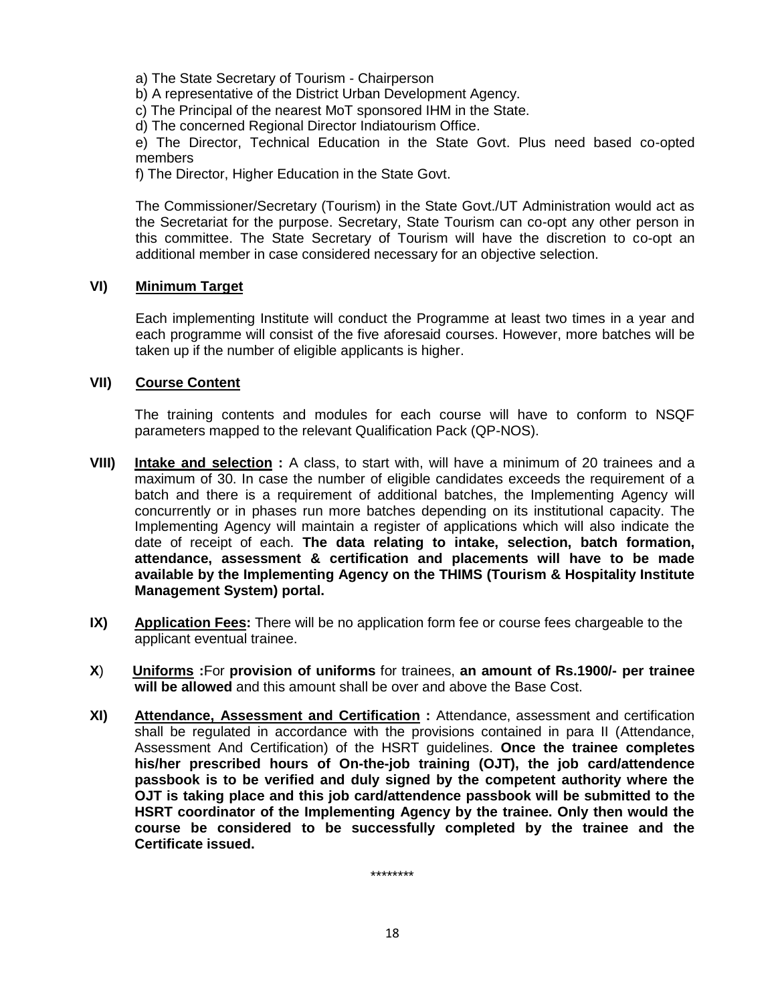a) The State Secretary of Tourism - Chairperson

b) A representative of the District Urban Development Agency.

c) The Principal of the nearest MoT sponsored IHM in the State.

d) The concerned Regional Director Indiatourism Office.

e) The Director, Technical Education in the State Govt. Plus need based co-opted members

f) The Director, Higher Education in the State Govt.

The Commissioner/Secretary (Tourism) in the State Govt./UT Administration would act as the Secretariat for the purpose. Secretary, State Tourism can co-opt any other person in this committee. The State Secretary of Tourism will have the discretion to co-opt an additional member in case considered necessary for an objective selection.

### **VI) Minimum Target**

Each implementing Institute will conduct the Programme at least two times in a year and each programme will consist of the five aforesaid courses. However, more batches will be taken up if the number of eligible applicants is higher.

### **VII) Course Content**

The training contents and modules for each course will have to conform to NSQF parameters mapped to the relevant Qualification Pack (QP-NOS).

- **VIII) Intake and selection :** A class, to start with, will have a minimum of 20 trainees and a maximum of 30. In case the number of eligible candidates exceeds the requirement of a batch and there is a requirement of additional batches, the Implementing Agency will concurrently or in phases run more batches depending on its institutional capacity. The Implementing Agency will maintain a register of applications which will also indicate the date of receipt of each. **The data relating to intake, selection, batch formation, attendance, assessment & certification and placements will have to be made available by the Implementing Agency on the THIMS (Tourism & Hospitality Institute Management System) portal.**
- **IX) Application Fees:** There will be no application form fee or course fees chargeable to the applicant eventual trainee.
- **X**) **Uniforms :**For **provision of uniforms** for trainees, **an amount of Rs.1900/- per trainee will be allowed** and this amount shall be over and above the Base Cost.
- **XI) Attendance, Assessment and Certification :** Attendance, assessment and certification shall be regulated in accordance with the provisions contained in para II (Attendance, Assessment And Certification) of the HSRT guidelines. **Once the trainee completes his/her prescribed hours of On-the-job training (OJT), the job card/attendence passbook is to be verified and duly signed by the competent authority where the OJT is taking place and this job card/attendence passbook will be submitted to the HSRT coordinator of the Implementing Agency by the trainee. Only then would the course be considered to be successfully completed by the trainee and the Certificate issued.**

\*\*\*\*\*\*\*\*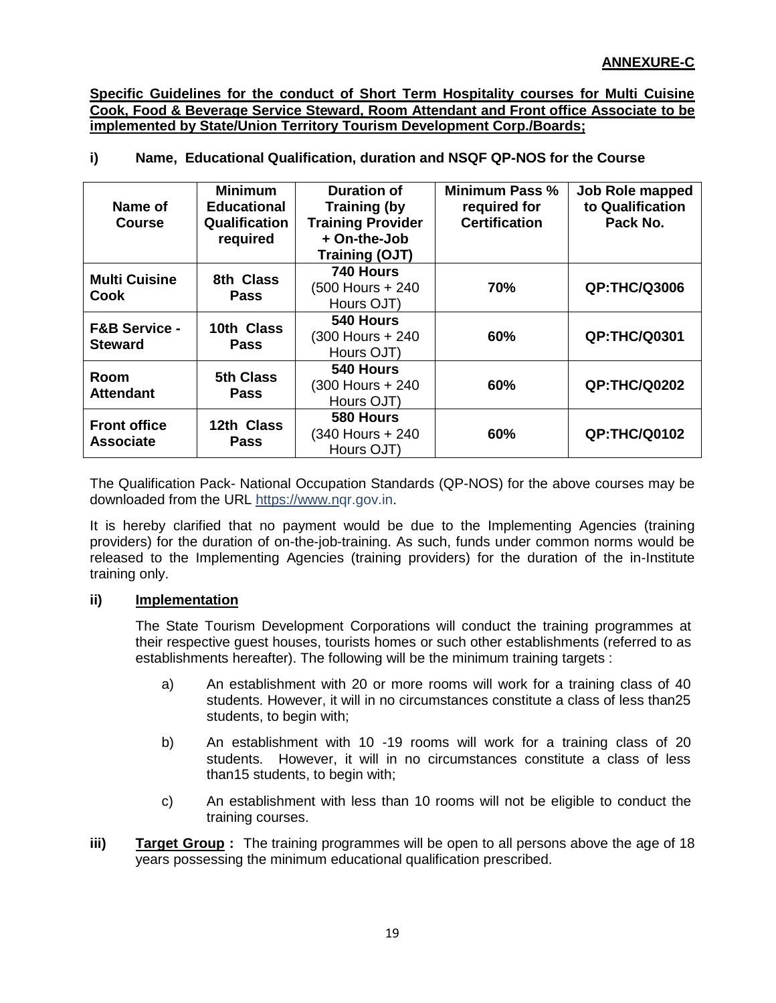**Specific Guidelines for the conduct of Short Term Hospitality courses for Multi Cuisine Cook, Food & Beverage Service Steward, Room Attendant and Front office Associate to be implemented by State/Union Territory Tourism Development Corp./Boards;**

# **i) Name, Educational Qualification, duration and NSQF QP-NOS for the Course**

| Name of<br><b>Course</b>                   | <b>Minimum</b><br><b>Educational</b><br><b>Qualification</b><br>required | <b>Duration of</b><br><b>Training (by</b><br><b>Training Provider</b><br>+ On-the-Job<br>Training (OJT) | <b>Minimum Pass %</b><br>required for<br><b>Certification</b> | Job Role mapped<br>to Qualification<br>Pack No. |
|--------------------------------------------|--------------------------------------------------------------------------|---------------------------------------------------------------------------------------------------------|---------------------------------------------------------------|-------------------------------------------------|
| <b>Multi Cuisine</b><br>Cook               | 8th Class<br><b>Pass</b>                                                 | 740 Hours<br>(500 Hours + 240<br>Hours OJT)                                                             | 70%                                                           | <b>QP:THC/Q3006</b>                             |
| <b>F&amp;B Service -</b><br><b>Steward</b> | 10th Class<br><b>Pass</b>                                                | 540 Hours<br>(300 Hours + 240)<br>Hours OJT)                                                            | 60%                                                           | <b>QP:THC/Q0301</b>                             |
| Room<br><b>Attendant</b>                   | <b>5th Class</b><br><b>Pass</b>                                          | 540 Hours<br>(300 Hours + 240)<br>Hours OJT)                                                            | 60%                                                           | <b>QP:THC/Q0202</b>                             |
| <b>Front office</b><br><b>Associate</b>    | 12th Class<br><b>Pass</b>                                                | 580 Hours<br>(340 Hours + 240<br>Hours OJT)                                                             | 60%                                                           | <b>QP:THC/Q0102</b>                             |

The Qualification Pack- National Occupation Standards (QP-NOS) for the above courses may be downloaded from the URL [https://www.nq](https://www.n/)r.gov.in.

It is hereby clarified that no payment would be due to the Implementing Agencies (training providers) for the duration of on-the-job-training. As such, funds under common norms would be released to the Implementing Agencies (training providers) for the duration of the in-Institute training only.

### **ii) Implementation**

The State Tourism Development Corporations will conduct the training programmes at their respective guest houses, tourists homes or such other establishments (referred to as establishments hereafter). The following will be the minimum training targets :

- a) An establishment with 20 or more rooms will work for a training class of 40 students. However, it will in no circumstances constitute a class of less than25 students, to begin with;
- b) An establishment with 10 -19 rooms will work for a training class of 20 students. However, it will in no circumstances constitute a class of less than15 students, to begin with;
- c) An establishment with less than 10 rooms will not be eligible to conduct the training courses.
- **iii) Target Group :** The training programmes will be open to all persons above the age of 18 years possessing the minimum educational qualification prescribed.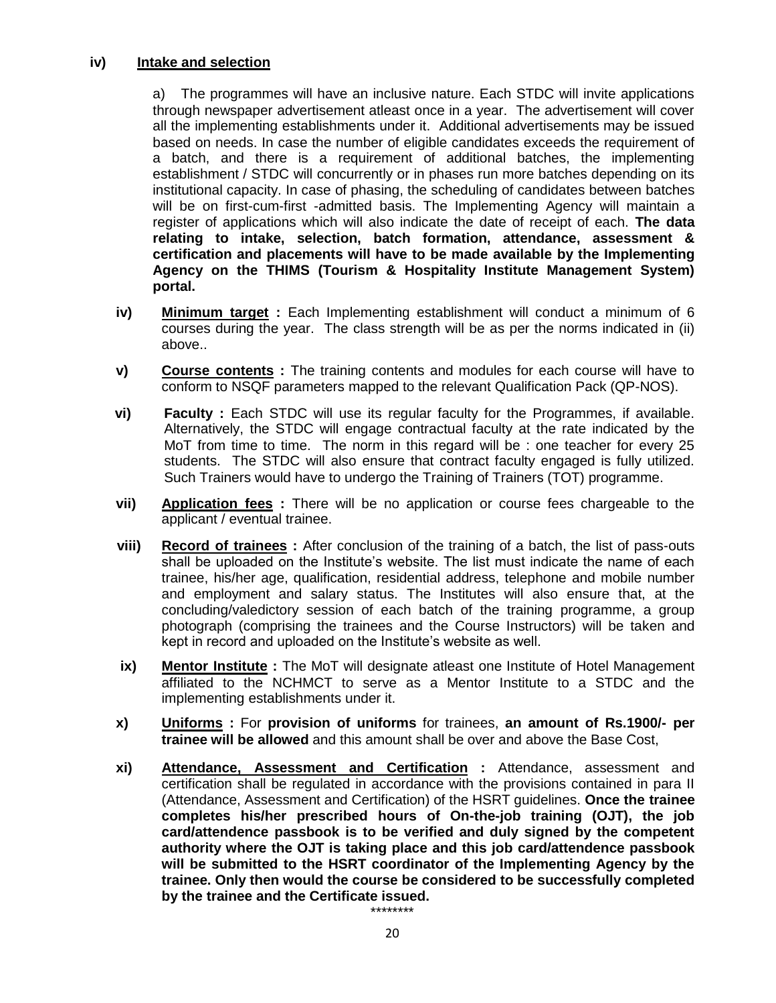#### **iv) Intake and selection**

a) The programmes will have an inclusive nature. Each STDC will invite applications through newspaper advertisement atleast once in a year. The advertisement will cover all the implementing establishments under it. Additional advertisements may be issued based on needs. In case the number of eligible candidates exceeds the requirement of a batch, and there is a requirement of additional batches, the implementing establishment / STDC will concurrently or in phases run more batches depending on its institutional capacity. In case of phasing, the scheduling of candidates between batches will be on first-cum-first -admitted basis. The Implementing Agency will maintain a register of applications which will also indicate the date of receipt of each. **The data relating to intake, selection, batch formation, attendance, assessment & certification and placements will have to be made available by the Implementing Agency on the THIMS (Tourism & Hospitality Institute Management System) portal.**

- **iv) Minimum target :** Each Implementing establishment will conduct a minimum of 6 courses during the year. The class strength will be as per the norms indicated in (ii) above..
- **v) Course contents :** The training contents and modules for each course will have to conform to NSQF parameters mapped to the relevant Qualification Pack (QP-NOS).
- **vi) Faculty :** Each STDC will use its regular faculty for the Programmes, if available. Alternatively, the STDC will engage contractual faculty at the rate indicated by the MoT from time to time. The norm in this regard will be : one teacher for every 25 students. The STDC will also ensure that contract faculty engaged is fully utilized. Such Trainers would have to undergo the Training of Trainers (TOT) programme.
- **vii) Application fees :** There will be no application or course fees chargeable to the applicant / eventual trainee.
- **viii) Record of trainees :** After conclusion of the training of a batch, the list of pass-outs shall be uploaded on the Institute's website. The list must indicate the name of each trainee, his/her age, qualification, residential address, telephone and mobile number and employment and salary status. The Institutes will also ensure that, at the concluding/valedictory session of each batch of the training programme, a group photograph (comprising the trainees and the Course Instructors) will be taken and kept in record and uploaded on the Institute's website as well.
- **ix) Mentor Institute**: The MoT will designate atleast one Institute of Hotel Management affiliated to the NCHMCT to serve as a Mentor Institute to a STDC and the implementing establishments under it.
- **x) Uniforms :** For **provision of uniforms** for trainees, **an amount of Rs.1900/- per trainee will be allowed** and this amount shall be over and above the Base Cost,
- **xi) Attendance, Assessment and Certification :** Attendance, assessment and certification shall be regulated in accordance with the provisions contained in para II (Attendance, Assessment and Certification) of the HSRT guidelines. **Once the trainee completes his/her prescribed hours of On-the-job training (OJT), the job card/attendence passbook is to be verified and duly signed by the competent authority where the OJT is taking place and this job card/attendence passbook will be submitted to the HSRT coordinator of the Implementing Agency by the trainee. Only then would the course be considered to be successfully completed by the trainee and the Certificate issued.** \*\*\*\*\*\*\*\*

20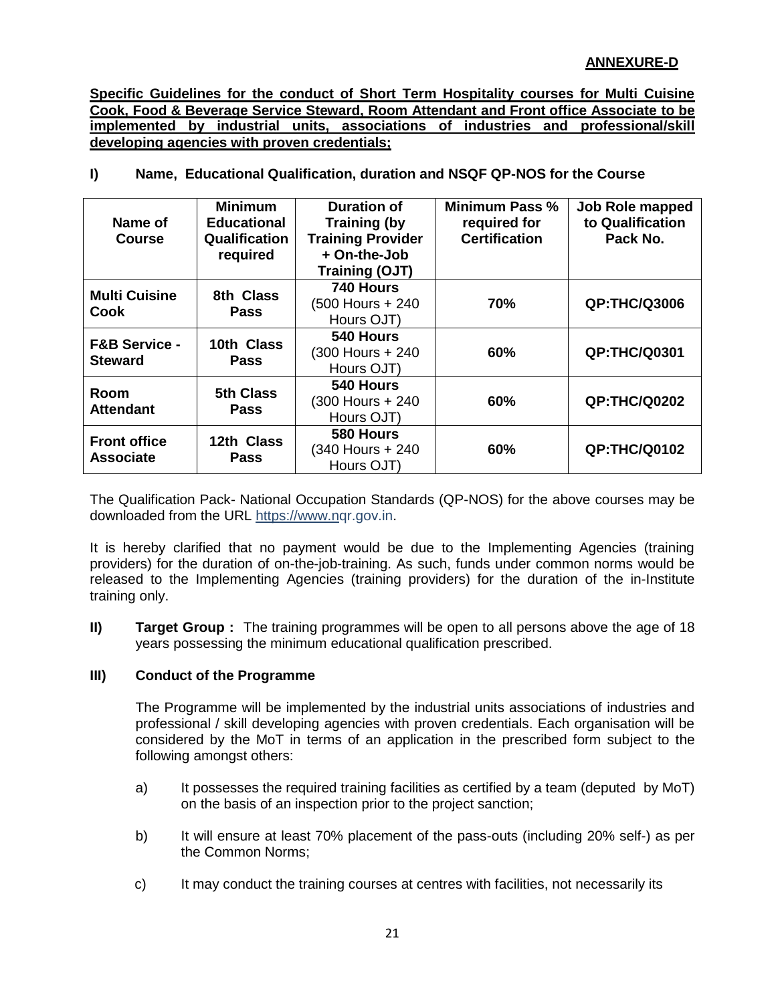# **ANNEXURE-D**

**Specific Guidelines for the conduct of Short Term Hospitality courses for Multi Cuisine Cook, Food & Beverage Service Steward, Room Attendant and Front office Associate to be implemented by industrial units, associations of industries and professional/skill developing agencies with proven credentials;**

| $\mathbf{I}$ |  | Name, Educational Qualification, duration and NSQF QP-NOS for the Course |  |  |
|--------------|--|--------------------------------------------------------------------------|--|--|
|--------------|--|--------------------------------------------------------------------------|--|--|

| Name of<br><b>Course</b>                   | <b>Minimum</b><br><b>Educational</b><br><b>Qualification</b><br>required | Duration of<br><b>Training (by</b><br><b>Training Provider</b><br>+ On-the-Job<br><b>Training (OJT)</b> | <b>Minimum Pass %</b><br>required for<br><b>Certification</b> | Job Role mapped<br>to Qualification<br>Pack No. |
|--------------------------------------------|--------------------------------------------------------------------------|---------------------------------------------------------------------------------------------------------|---------------------------------------------------------------|-------------------------------------------------|
| <b>Multi Cuisine</b><br>Cook               | 8th Class<br><b>Pass</b>                                                 | 740 Hours<br>(500 Hours + 240<br>Hours OJT)                                                             | 70%                                                           | <b>QP:THC/Q3006</b>                             |
| <b>F&amp;B Service -</b><br><b>Steward</b> | 10th Class<br><b>Pass</b>                                                | 540 Hours<br>(300 Hours + 240<br>Hours OJT)                                                             | 60%                                                           | <b>QP:THC/Q0301</b>                             |
| Room<br><b>Attendant</b>                   | <b>5th Class</b><br><b>Pass</b>                                          | 540 Hours<br>(300 Hours + 240<br>Hours OJT)                                                             | 60%                                                           | <b>QP:THC/Q0202</b>                             |
| <b>Front office</b><br><b>Associate</b>    | 12th Class<br><b>Pass</b>                                                | 580 Hours<br>(340 Hours + 240<br>Hours OJT)                                                             | 60%                                                           | <b>QP:THC/Q0102</b>                             |

The Qualification Pack- National Occupation Standards (QP-NOS) for the above courses may be downloaded from the URL [https://www.nq](https://www.n/)r.gov.in.

It is hereby clarified that no payment would be due to the Implementing Agencies (training providers) for the duration of on-the-job-training. As such, funds under common norms would be released to the Implementing Agencies (training providers) for the duration of the in-Institute training only.

**II) Target Group :** The training programmes will be open to all persons above the age of 18 years possessing the minimum educational qualification prescribed.

### **III) Conduct of the Programme**

The Programme will be implemented by the industrial units associations of industries and professional / skill developing agencies with proven credentials. Each organisation will be considered by the MoT in terms of an application in the prescribed form subject to the following amongst others:

- a) It possesses the required training facilities as certified by a team (deputed by MoT) on the basis of an inspection prior to the project sanction;
- b) It will ensure at least 70% placement of the pass-outs (including 20% self-) as per the Common Norms;
- c) It may conduct the training courses at centres with facilities, not necessarily its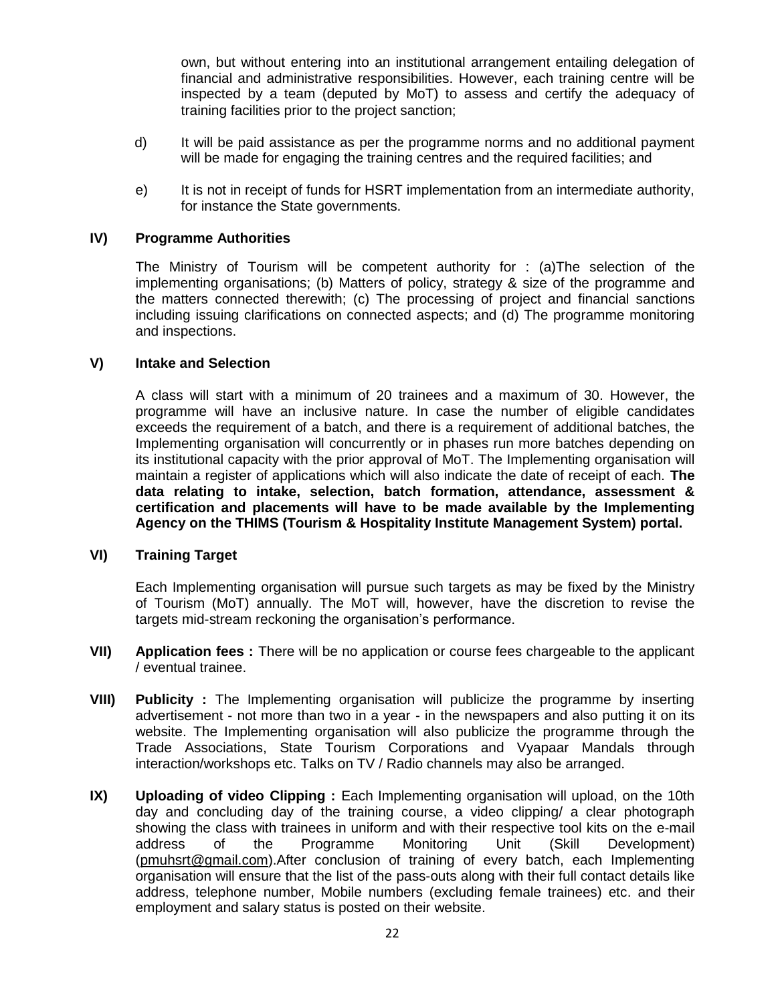own, but without entering into an institutional arrangement entailing delegation of financial and administrative responsibilities. However, each training centre will be inspected by a team (deputed by MoT) to assess and certify the adequacy of training facilities prior to the project sanction;

- d) It will be paid assistance as per the programme norms and no additional payment will be made for engaging the training centres and the required facilities; and
- e) It is not in receipt of funds for HSRT implementation from an intermediate authority, for instance the State governments.

#### **IV) Programme Authorities**

The Ministry of Tourism will be competent authority for : (a)The selection of the implementing organisations; (b) Matters of policy, strategy & size of the programme and the matters connected therewith; (c) The processing of project and financial sanctions including issuing clarifications on connected aspects; and (d) The programme monitoring and inspections.

#### **V) Intake and Selection**

A class will start with a minimum of 20 trainees and a maximum of 30. However, the programme will have an inclusive nature. In case the number of eligible candidates exceeds the requirement of a batch, and there is a requirement of additional batches, the Implementing organisation will concurrently or in phases run more batches depending on its institutional capacity with the prior approval of MoT. The Implementing organisation will maintain a register of applications which will also indicate the date of receipt of each. **The data relating to intake, selection, batch formation, attendance, assessment & certification and placements will have to be made available by the Implementing Agency on the THIMS (Tourism & Hospitality Institute Management System) portal.**

#### **VI) Training Target**

Each Implementing organisation will pursue such targets as may be fixed by the Ministry of Tourism (MoT) annually. The MoT will, however, have the discretion to revise the targets mid-stream reckoning the organisation's performance.

- **VII) Application fees :** There will be no application or course fees chargeable to the applicant / eventual trainee.
- **VIII) Publicity :** The Implementing organisation will publicize the programme by inserting advertisement - not more than two in a year - in the newspapers and also putting it on its website. The Implementing organisation will also publicize the programme through the Trade Associations, State Tourism Corporations and Vyapaar Mandals through interaction/workshops etc. Talks on TV / Radio channels may also be arranged.
- **IX)** Uploading of video Clipping : Each Implementing organisation will upload, on the 10th day and concluding day of the training course, a video clipping/ a clear photograph showing the class with trainees in uniform and with their respective tool kits on the e-mail address of the Programme Monitoring Unit (Skill Development) [\(pmuhsrt@gmail.com\)](mailto:pmuhsrt@gmail.com).After conclusion of training of every batch, each Implementing organisation will ensure that the list of the pass-outs along with their full contact details like address, telephone number, Mobile numbers (excluding female trainees) etc. and their employment and salary status is posted on their website.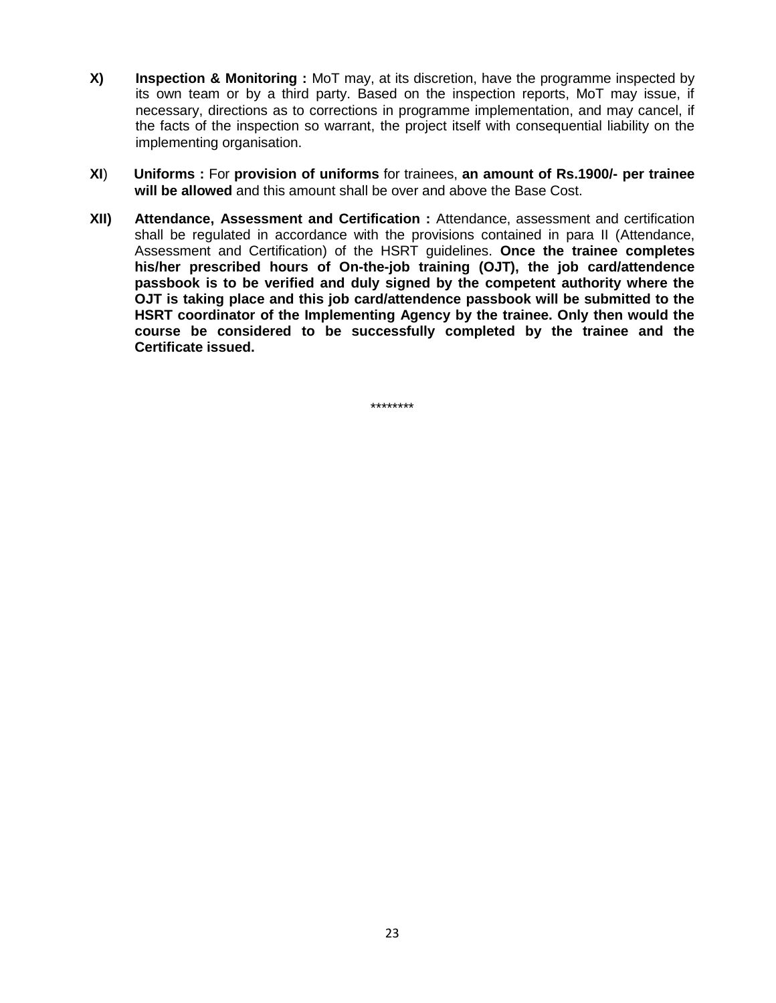- **X) Inspection & Monitoring :** MoT may, at its discretion, have the programme inspected by its own team or by a third party. Based on the inspection reports, MoT may issue, if necessary, directions as to corrections in programme implementation, and may cancel, if the facts of the inspection so warrant, the project itself with consequential liability on the implementing organisation.
- **XI**) **Uniforms :** For **provision of uniforms** for trainees, **an amount of Rs.1900/- per trainee will be allowed** and this amount shall be over and above the Base Cost.
- **XII) Attendance, Assessment and Certification :** Attendance, assessment and certification shall be regulated in accordance with the provisions contained in para II (Attendance, Assessment and Certification) of the HSRT guidelines. **Once the trainee completes his/her prescribed hours of On-the-job training (OJT), the job card/attendence passbook is to be verified and duly signed by the competent authority where the OJT is taking place and this job card/attendence passbook will be submitted to the HSRT coordinator of the Implementing Agency by the trainee. Only then would the course be considered to be successfully completed by the trainee and the Certificate issued.**

\*\*\*\*\*\*\*\*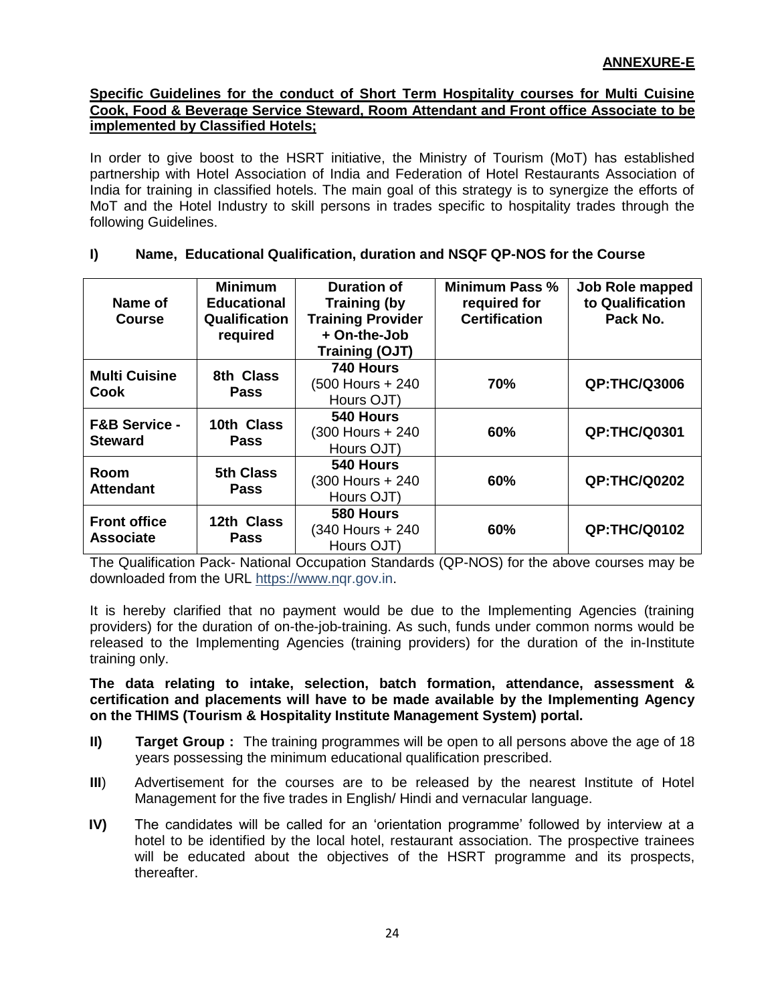#### **Specific Guidelines for the conduct of Short Term Hospitality courses for Multi Cuisine Cook, Food & Beverage Service Steward, Room Attendant and Front office Associate to be implemented by Classified Hotels;**

In order to give boost to the HSRT initiative, the Ministry of Tourism (MoT) has established partnership with Hotel Association of India and Federation of Hotel Restaurants Association of India for training in classified hotels. The main goal of this strategy is to synergize the efforts of MoT and the Hotel Industry to skill persons in trades specific to hospitality trades through the following Guidelines.

| Name of<br><b>Course</b>                   | <b>Minimum</b><br><b>Educational</b><br><b>Qualification</b><br>required | <b>Duration of</b><br><b>Training (by</b><br><b>Training Provider</b><br>+ On-the-Job<br><b>Training (OJT)</b> | <b>Minimum Pass %</b><br>required for<br><b>Certification</b> | Job Role mapped<br>to Qualification<br>Pack No. |
|--------------------------------------------|--------------------------------------------------------------------------|----------------------------------------------------------------------------------------------------------------|---------------------------------------------------------------|-------------------------------------------------|
| <b>Multi Cuisine</b><br>Cook               | 8th Class<br><b>Pass</b>                                                 | 740 Hours<br>(500 Hours + 240<br>Hours OJT)                                                                    | 70%                                                           | <b>QP:THC/Q3006</b>                             |
| <b>F&amp;B Service -</b><br><b>Steward</b> | 10th Class<br><b>Pass</b>                                                | 540 Hours<br>(300 Hours + 240)<br>Hours OJT)                                                                   | 60%                                                           | <b>QP:THC/Q0301</b>                             |
| Room<br><b>Attendant</b>                   | <b>5th Class</b><br><b>Pass</b>                                          | 540 Hours<br>(300 Hours + 240)<br>Hours OJT)                                                                   | 60%                                                           | <b>QP:THC/Q0202</b>                             |
| <b>Front office</b><br><b>Associate</b>    | 12th Class<br><b>Pass</b>                                                | 580 Hours<br>(340 Hours + 240<br>Hours OJT)                                                                    | 60%                                                           | <b>QP:THC/Q0102</b>                             |

#### **I) Name, Educational Qualification, duration and NSQF QP-NOS for the Course**

The Qualification Pack- National Occupation Standards (QP-NOS) for the above courses may be downloaded from the URL [https://www.nq](https://www.n/)r.gov.in.

It is hereby clarified that no payment would be due to the Implementing Agencies (training providers) for the duration of on-the-job-training. As such, funds under common norms would be released to the Implementing Agencies (training providers) for the duration of the in-Institute training only.

**The data relating to intake, selection, batch formation, attendance, assessment & certification and placements will have to be made available by the Implementing Agency on the THIMS (Tourism & Hospitality Institute Management System) portal.**

- **II) Target Group :** The training programmes will be open to all persons above the age of 18 years possessing the minimum educational qualification prescribed.
- **III**) Advertisement for the courses are to be released by the nearest Institute of Hotel Management for the five trades in English/ Hindi and vernacular language.
- **IV)** The candidates will be called for an 'orientation programme' followed by interview at a hotel to be identified by the local hotel, restaurant association. The prospective trainees will be educated about the objectives of the HSRT programme and its prospects, thereafter.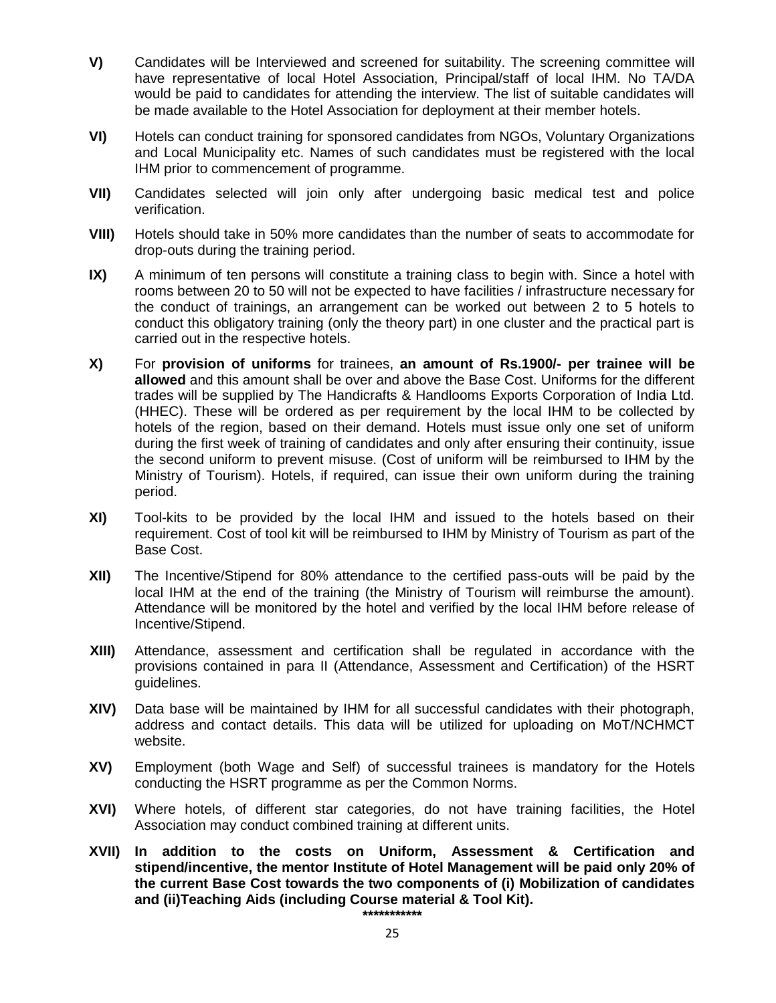- **V)** Candidates will be Interviewed and screened for suitability. The screening committee will have representative of local Hotel Association, Principal/staff of local IHM. No TA/DA would be paid to candidates for attending the interview. The list of suitable candidates will be made available to the Hotel Association for deployment at their member hotels.
- **VI)** Hotels can conduct training for sponsored candidates from NGOs, Voluntary Organizations and Local Municipality etc. Names of such candidates must be registered with the local IHM prior to commencement of programme.
- **VII)** Candidates selected will join only after undergoing basic medical test and police verification.
- **VIII)** Hotels should take in 50% more candidates than the number of seats to accommodate for drop-outs during the training period.
- **IX)** A minimum of ten persons will constitute a training class to begin with. Since a hotel with rooms between 20 to 50 will not be expected to have facilities / infrastructure necessary for the conduct of trainings, an arrangement can be worked out between 2 to 5 hotels to conduct this obligatory training (only the theory part) in one cluster and the practical part is carried out in the respective hotels.
- **X)** For **provision of uniforms** for trainees, **an amount of Rs.1900/- per trainee will be allowed** and this amount shall be over and above the Base Cost. Uniforms for the different trades will be supplied by The Handicrafts & Handlooms Exports Corporation of India Ltd. (HHEC). These will be ordered as per requirement by the local IHM to be collected by hotels of the region, based on their demand. Hotels must issue only one set of uniform during the first week of training of candidates and only after ensuring their continuity, issue the second uniform to prevent misuse. (Cost of uniform will be reimbursed to IHM by the Ministry of Tourism). Hotels, if required, can issue their own uniform during the training period.
- **XI)** Tool-kits to be provided by the local IHM and issued to the hotels based on their requirement. Cost of tool kit will be reimbursed to IHM by Ministry of Tourism as part of the Base Cost.
- **XII)** The Incentive/Stipend for 80% attendance to the certified pass-outs will be paid by the local IHM at the end of the training (the Ministry of Tourism will reimburse the amount). Attendance will be monitored by the hotel and verified by the local IHM before release of Incentive/Stipend.
- **XIII)** Attendance, assessment and certification shall be regulated in accordance with the provisions contained in para II (Attendance, Assessment and Certification) of the HSRT guidelines.
- **XIV)** Data base will be maintained by IHM for all successful candidates with their photograph, address and contact details. This data will be utilized for uploading on MoT/NCHMCT website.
- **XV)** Employment (both Wage and Self) of successful trainees is mandatory for the Hotels conducting the HSRT programme as per the Common Norms.
- **XVI)** Where hotels, of different star categories, do not have training facilities, the Hotel Association may conduct combined training at different units.
- **XVII) In addition to the costs on Uniform, Assessment & Certification and stipend/incentive, the mentor Institute of Hotel Management will be paid only 20% of the current Base Cost towards the two components of (i) Mobilization of candidates and (ii)Teaching Aids (including Course material & Tool Kit).**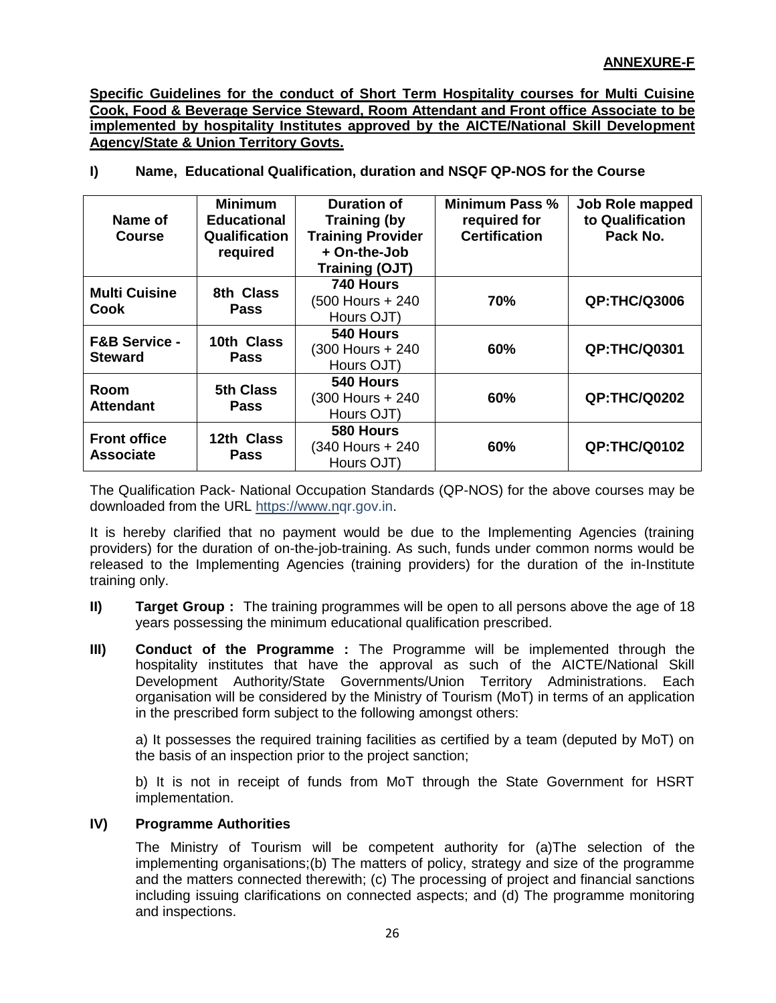**Specific Guidelines for the conduct of Short Term Hospitality courses for Multi Cuisine Cook, Food & Beverage Service Steward, Room Attendant and Front office Associate to be implemented by hospitality Institutes approved by the AICTE/National Skill Development Agency/State & Union Territory Govts.**

**I) Name, Educational Qualification, duration and NSQF QP-NOS for the Course**

| Name of<br><b>Course</b>                   | <b>Minimum</b><br><b>Educational</b><br><b>Qualification</b><br>required | <b>Duration of</b><br><b>Training (by</b><br><b>Training Provider</b><br>+ On-the-Job<br><b>Training (OJT)</b> | Minimum Pass %<br>required for<br><b>Certification</b> | Job Role mapped<br>to Qualification<br>Pack No. |
|--------------------------------------------|--------------------------------------------------------------------------|----------------------------------------------------------------------------------------------------------------|--------------------------------------------------------|-------------------------------------------------|
| <b>Multi Cuisine</b><br>Cook               | 8th Class<br><b>Pass</b>                                                 | 740 Hours<br>(500 Hours + 240<br>Hours OJT)                                                                    | 70%                                                    | <b>QP:THC/Q3006</b>                             |
| <b>F&amp;B Service -</b><br><b>Steward</b> | 10th Class<br><b>Pass</b>                                                | 540 Hours<br>(300 Hours + 240<br>Hours OJT)                                                                    | 60%                                                    | <b>QP:THC/Q0301</b>                             |
| Room<br><b>Attendant</b>                   | 5th Class<br><b>Pass</b>                                                 | 540 Hours<br>(300 Hours + 240<br>Hours OJT)                                                                    | 60%                                                    | <b>QP:THC/Q0202</b>                             |
| <b>Front office</b><br><b>Associate</b>    | 12th Class<br><b>Pass</b>                                                | 580 Hours<br>(340 Hours + 240<br>Hours OJT)                                                                    | 60%                                                    | <b>QP:THC/Q0102</b>                             |

The Qualification Pack- National Occupation Standards (QP-NOS) for the above courses may be downloaded from the URL [https://www.nq](https://www.n/)r.gov.in.

It is hereby clarified that no payment would be due to the Implementing Agencies (training providers) for the duration of on-the-job-training. As such, funds under common norms would be released to the Implementing Agencies (training providers) for the duration of the in-Institute training only.

- **II) Target Group :** The training programmes will be open to all persons above the age of 18 years possessing the minimum educational qualification prescribed.
- **III)** Conduct of the Programme : The Programme will be implemented through the hospitality institutes that have the approval as such of the AICTE/National Skill Development Authority/State Governments/Union Territory Administrations. Each organisation will be considered by the Ministry of Tourism (MoT) in terms of an application in the prescribed form subject to the following amongst others:

a) It possesses the required training facilities as certified by a team (deputed by MoT) on the basis of an inspection prior to the project sanction;

b) It is not in receipt of funds from MoT through the State Government for HSRT implementation.

### **IV) Programme Authorities**

The Ministry of Tourism will be competent authority for (a)The selection of the implementing organisations;(b) The matters of policy, strategy and size of the programme and the matters connected therewith; (c) The processing of project and financial sanctions including issuing clarifications on connected aspects; and (d) The programme monitoring and inspections.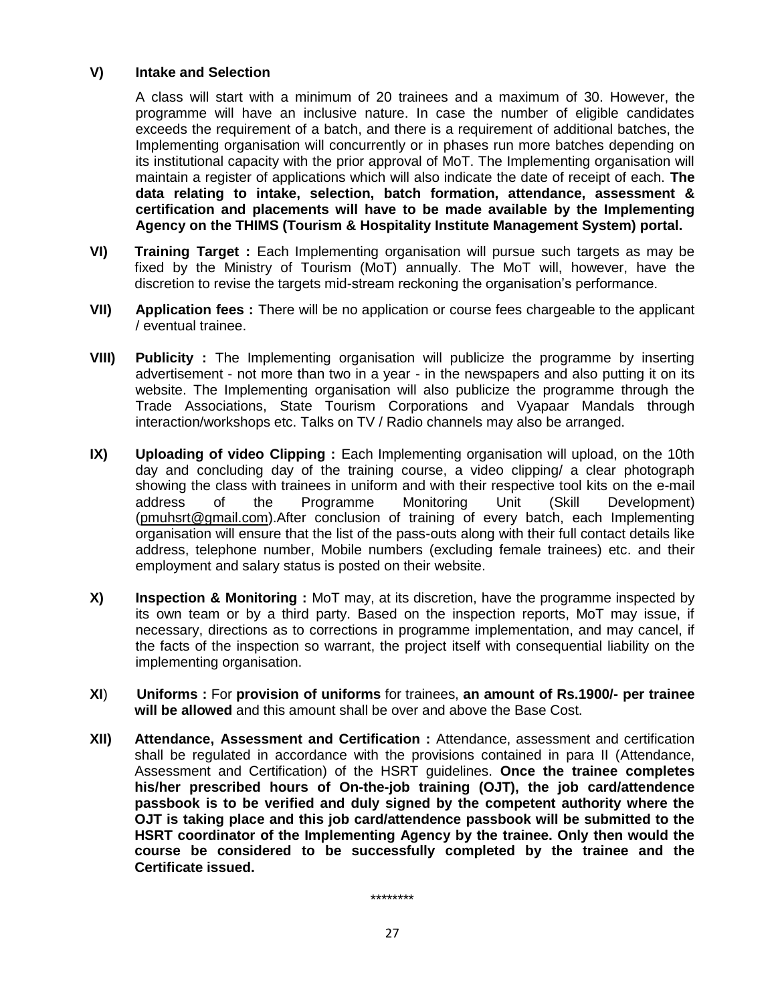#### **V) Intake and Selection**

A class will start with a minimum of 20 trainees and a maximum of 30. However, the programme will have an inclusive nature. In case the number of eligible candidates exceeds the requirement of a batch, and there is a requirement of additional batches, the Implementing organisation will concurrently or in phases run more batches depending on its institutional capacity with the prior approval of MoT. The Implementing organisation will maintain a register of applications which will also indicate the date of receipt of each. **The data relating to intake, selection, batch formation, attendance, assessment & certification and placements will have to be made available by the Implementing Agency on the THIMS (Tourism & Hospitality Institute Management System) portal.**

- **VI) Training Target :** Each Implementing organisation will pursue such targets as may be fixed by the Ministry of Tourism (MoT) annually. The MoT will, however, have the discretion to revise the targets mid-stream reckoning the organisation's performance.
- **VII) Application fees :** There will be no application or course fees chargeable to the applicant / eventual trainee.
- **VIII) Publicity :** The Implementing organisation will publicize the programme by inserting advertisement - not more than two in a year - in the newspapers and also putting it on its website. The Implementing organisation will also publicize the programme through the Trade Associations, State Tourism Corporations and Vyapaar Mandals through interaction/workshops etc. Talks on TV / Radio channels may also be arranged.
- **IX)** Uploading of video Clipping : Each Implementing organisation will upload, on the 10th day and concluding day of the training course, a video clipping/ a clear photograph showing the class with trainees in uniform and with their respective tool kits on the e-mail address of the Programme Monitoring Unit (Skill Development) [\(pmuhsrt@gmail.com\)](mailto:pmuhsrt@gmail.com).After conclusion of training of every batch, each Implementing organisation will ensure that the list of the pass-outs along with their full contact details like address, telephone number, Mobile numbers (excluding female trainees) etc. and their employment and salary status is posted on their website.
- **X) Inspection & Monitoring :** MoT may, at its discretion, have the programme inspected by its own team or by a third party. Based on the inspection reports, MoT may issue, if necessary, directions as to corrections in programme implementation, and may cancel, if the facts of the inspection so warrant, the project itself with consequential liability on the implementing organisation.
- **XI**) **Uniforms :** For **provision of uniforms** for trainees, **an amount of Rs.1900/- per trainee will be allowed** and this amount shall be over and above the Base Cost.
- **XII) Attendance, Assessment and Certification :** Attendance, assessment and certification shall be regulated in accordance with the provisions contained in para II (Attendance, Assessment and Certification) of the HSRT guidelines. **Once the trainee completes his/her prescribed hours of On-the-job training (OJT), the job card/attendence passbook is to be verified and duly signed by the competent authority where the OJT is taking place and this job card/attendence passbook will be submitted to the HSRT coordinator of the Implementing Agency by the trainee. Only then would the course be considered to be successfully completed by the trainee and the Certificate issued.**

\*\*\*\*\*\*\*\*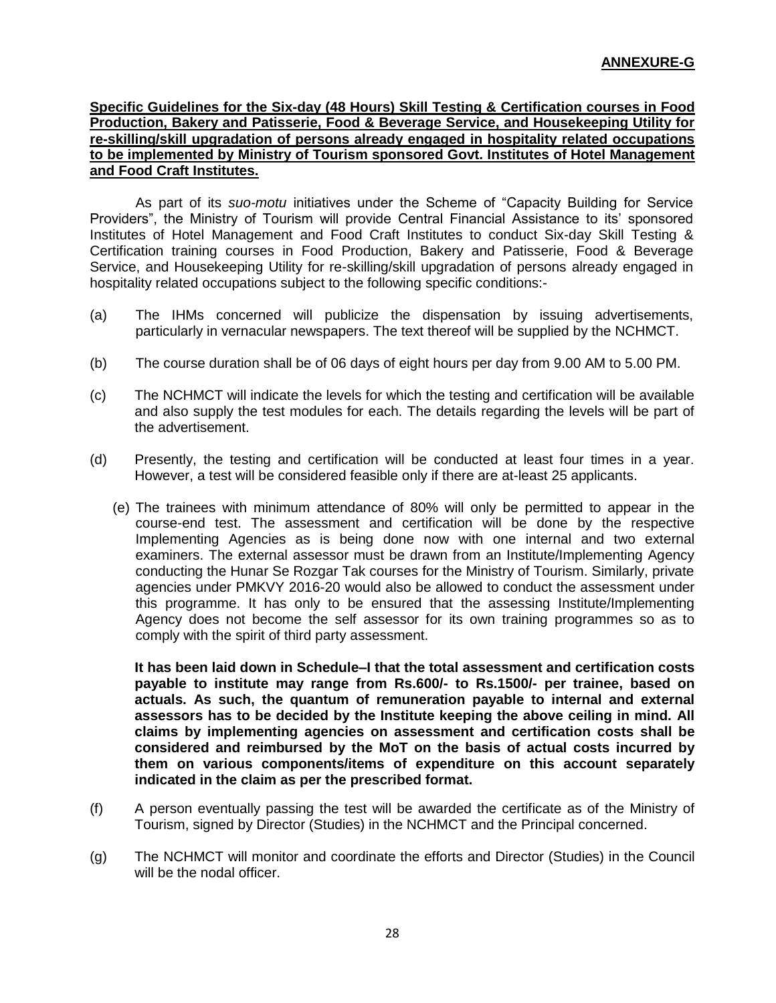**Specific Guidelines for the Six-day (48 Hours) Skill Testing & Certification courses in Food Production, Bakery and Patisserie, Food & Beverage Service, and Housekeeping Utility for re-skilling/skill upgradation of persons already engaged in hospitality related occupations to be implemented by Ministry of Tourism sponsored Govt. Institutes of Hotel Management and Food Craft Institutes.**

As part of its *suo-motu* initiatives under the Scheme of "Capacity Building for Service Providers", the Ministry of Tourism will provide Central Financial Assistance to its' sponsored Institutes of Hotel Management and Food Craft Institutes to conduct Six-day Skill Testing & Certification training courses in Food Production, Bakery and Patisserie, Food & Beverage Service, and Housekeeping Utility for re-skilling/skill upgradation of persons already engaged in hospitality related occupations subject to the following specific conditions:-

- (a) The IHMs concerned will publicize the dispensation by issuing advertisements, particularly in vernacular newspapers. The text thereof will be supplied by the NCHMCT.
- (b) The course duration shall be of 06 days of eight hours per day from 9.00 AM to 5.00 PM.
- (c) The NCHMCT will indicate the levels for which the testing and certification will be available and also supply the test modules for each. The details regarding the levels will be part of the advertisement.
- (d) Presently, the testing and certification will be conducted at least four times in a year. However, a test will be considered feasible only if there are at-least 25 applicants.
	- (e) The trainees with minimum attendance of 80% will only be permitted to appear in the course-end test. The assessment and certification will be done by the respective Implementing Agencies as is being done now with one internal and two external examiners. The external assessor must be drawn from an Institute/Implementing Agency conducting the Hunar Se Rozgar Tak courses for the Ministry of Tourism. Similarly, private agencies under PMKVY 2016-20 would also be allowed to conduct the assessment under this programme. It has only to be ensured that the assessing Institute/Implementing Agency does not become the self assessor for its own training programmes so as to comply with the spirit of third party assessment.

**It has been laid down in Schedule–I that the total assessment and certification costs payable to institute may range from Rs.600/- to Rs.1500/- per trainee, based on actuals. As such, the quantum of remuneration payable to internal and external assessors has to be decided by the Institute keeping the above ceiling in mind. All claims by implementing agencies on assessment and certification costs shall be considered and reimbursed by the MoT on the basis of actual costs incurred by them on various components/items of expenditure on this account separately indicated in the claim as per the prescribed format.**

- (f) A person eventually passing the test will be awarded the certificate as of the Ministry of Tourism, signed by Director (Studies) in the NCHMCT and the Principal concerned.
- (g) The NCHMCT will monitor and coordinate the efforts and Director (Studies) in the Council will be the nodal officer.